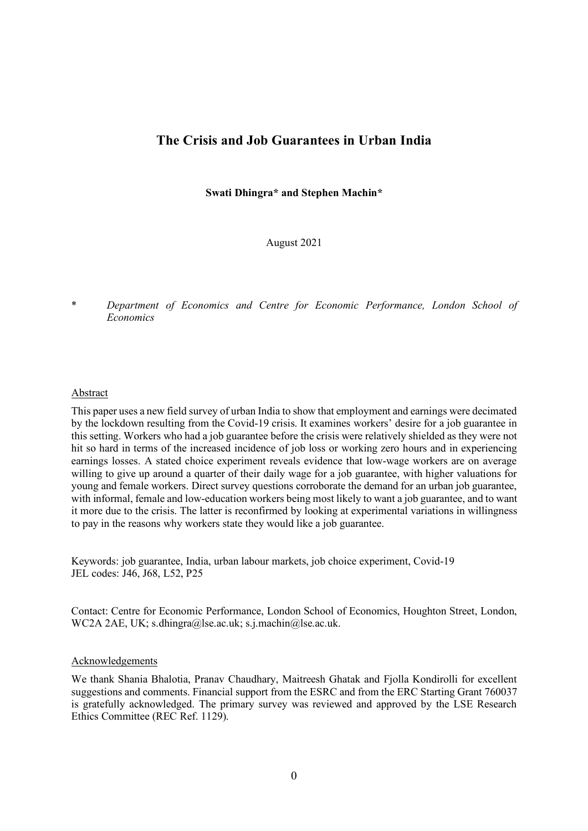# **The Crisis and Job Guarantees in Urban India**

**Swati Dhingra\* and Stephen Machin\***

August 2021

\* *Department of Economics and Centre for Economic Performance, London School of Economics*

# Abstract

This paper uses a new field survey of urban India to show that employment and earnings were decimated by the lockdown resulting from the Covid-19 crisis. It examines workers' desire for a job guarantee in this setting. Workers who had a job guarantee before the crisis were relatively shielded as they were not hit so hard in terms of the increased incidence of job loss or working zero hours and in experiencing earnings losses. A stated choice experiment reveals evidence that low-wage workers are on average willing to give up around a quarter of their daily wage for a job guarantee, with higher valuations for young and female workers. Direct survey questions corroborate the demand for an urban job guarantee, with informal, female and low-education workers being most likely to want a job guarantee, and to want it more due to the crisis. The latter is reconfirmed by looking at experimental variations in willingness to pay in the reasons why workers state they would like a job guarantee.

Keywords: job guarantee, India, urban labour markets, job choice experiment, Covid-19 JEL codes: J46, J68, L52, P25

Contact: Centre for Economic Performance, London School of Economics, Houghton Street, London, WC2A 2AE, UK; s.dhingra@lse.ac.uk; s.j.machin@lse.ac.uk.

## Acknowledgements

We thank Shania Bhalotia, Pranav Chaudhary, Maitreesh Ghatak and Fjolla Kondirolli for excellent suggestions and comments. Financial support from the ESRC and from the ERC Starting Grant 760037 is gratefully acknowledged. The primary survey was reviewed and approved by the LSE Research Ethics Committee (REC Ref. 1129).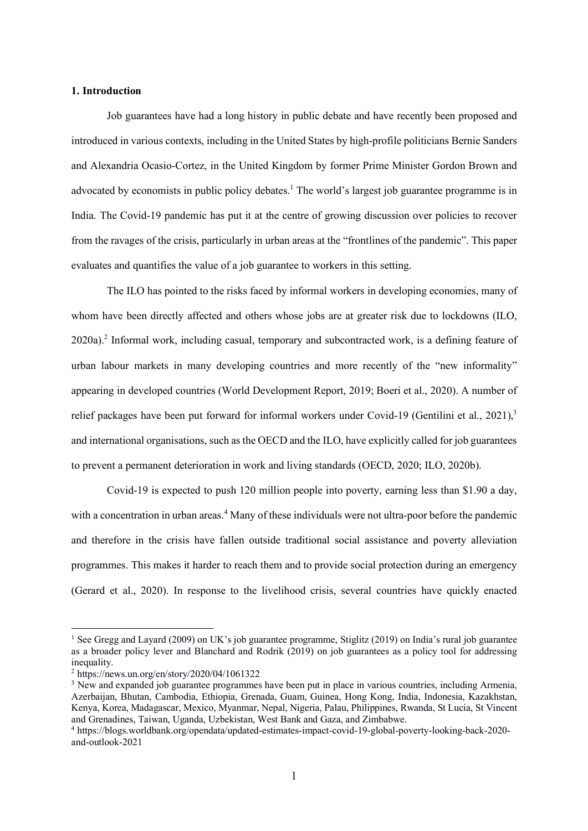## **1. Introduction**

Job guarantees have had a long history in public debate and have recently been proposed and introduced in various contexts, including in the United States by high-profile politicians Bernie Sanders and Alexandria Ocasio-Cortez, in the United Kingdom by former Prime Minister Gordon Brown and advocated by economists in public policy debates.<sup>1</sup> The world's largest job guarantee programme is in India. The Covid-19 pandemic has put it at the centre of growing discussion over policies to recover from the ravages of the crisis, particularly in urban areas at the "frontlines of the pandemic". This paper evaluates and quantifies the value of a job guarantee to workers in this setting.

The ILO has pointed to the risks faced by informal workers in developing economies, many of whom have been directly affected and others whose jobs are at greater risk due to lockdowns (ILO, 2020a). <sup>2</sup> Informal work, including casual, temporary and subcontracted work, is a defining feature of urban labour markets in many developing countries and more recently of the "new informality" appearing in developed countries (World Development Report, 2019; Boeri et al., 2020). A number of relief packages have been put forward for informal workers under Covid-19 (Gentilini et al., 2021),<sup>3</sup> and international organisations, such as the OECD and the ILO, have explicitly called for job guarantees to prevent a permanent deterioration in work and living standards (OECD, 2020; ILO, 2020b).

Covid-19 is expected to push 120 million people into poverty, earning less than \$1.90 a day, with a concentration in urban areas.<sup>4</sup> Many of these individuals were not ultra-poor before the pandemic and therefore in the crisis have fallen outside traditional social assistance and poverty alleviation programmes. This makes it harder to reach them and to provide social protection during an emergency (Gerard et al., 2020). In response to the livelihood crisis, several countries have quickly enacted

 <sup>1</sup> See Gregg and Layard (2009) on UK's job guarantee programme, Stiglitz (2019) on India's rural job guarantee as a broader policy lever and Blanchard and Rodrik (2019) on job guarantees as a policy tool for addressing inequality.

<sup>2</sup> https://news.un.org/en/story/2020/04/1061322

<sup>&</sup>lt;sup>3</sup> New and expanded job guarantee programmes have been put in place in various countries, including Armenia, Azerbaijan, Bhutan, Cambodia, Ethiopia, Grenada, Guam, Guinea, Hong Kong, India, Indonesia, Kazakhstan, Kenya, Korea, Madagascar, Mexico, Myanmar, Nepal, Nigeria, Palau, Philippines, Rwanda, St Lucia, St Vincent and Grenadines, Taiwan, Uganda, Uzbekistan, West Bank and Gaza, and Zimbabwe.

<sup>4</sup> https://blogs.worldbank.org/opendata/updated-estimates-impact-covid-19-global-poverty-looking-back-2020 and-outlook-2021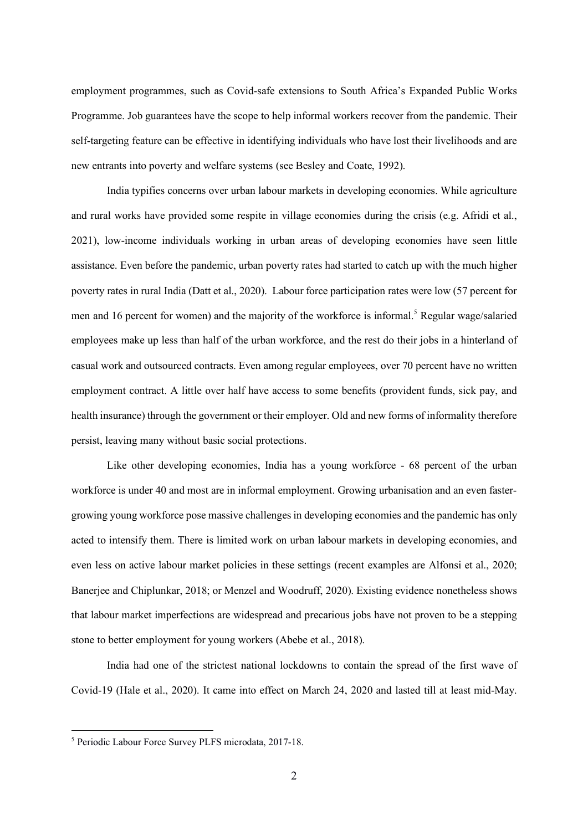employment programmes, such as Covid-safe extensions to South Africa's Expanded Public Works Programme. Job guarantees have the scope to help informal workers recover from the pandemic. Their self-targeting feature can be effective in identifying individuals who have lost their livelihoods and are new entrants into poverty and welfare systems (see Besley and Coate, 1992).

India typifies concerns over urban labour markets in developing economies. While agriculture and rural works have provided some respite in village economies during the crisis (e.g. Afridi et al., 2021), low-income individuals working in urban areas of developing economies have seen little assistance. Even before the pandemic, urban poverty rates had started to catch up with the much higher poverty rates in rural India (Datt et al., 2020). Labour force participation rates were low (57 percent for men and 16 percent for women) and the majority of the workforce is informal.<sup>5</sup> Regular wage/salaried employees make up less than half of the urban workforce, and the rest do their jobs in a hinterland of casual work and outsourced contracts. Even among regular employees, over 70 percent have no written employment contract. A little over half have access to some benefits (provident funds, sick pay, and health insurance) through the government or their employer. Old and new forms of informality therefore persist, leaving many without basic social protections.

Like other developing economies, India has a young workforce - 68 percent of the urban workforce is under 40 and most are in informal employment. Growing urbanisation and an even fastergrowing young workforce pose massive challenges in developing economies and the pandemic has only acted to intensify them. There is limited work on urban labour markets in developing economies, and even less on active labour market policies in these settings (recent examples are Alfonsi et al., 2020; Banerjee and Chiplunkar, 2018; or Menzel and Woodruff, 2020). Existing evidence nonetheless shows that labour market imperfections are widespread and precarious jobs have not proven to be a stepping stone to better employment for young workers (Abebe et al., 2018).

India had one of the strictest national lockdowns to contain the spread of the first wave of Covid-19 (Hale et al., 2020). It came into effect on March 24, 2020 and lasted till at least mid-May.

 <sup>5</sup> Periodic Labour Force Survey PLFS microdata, 2017-18.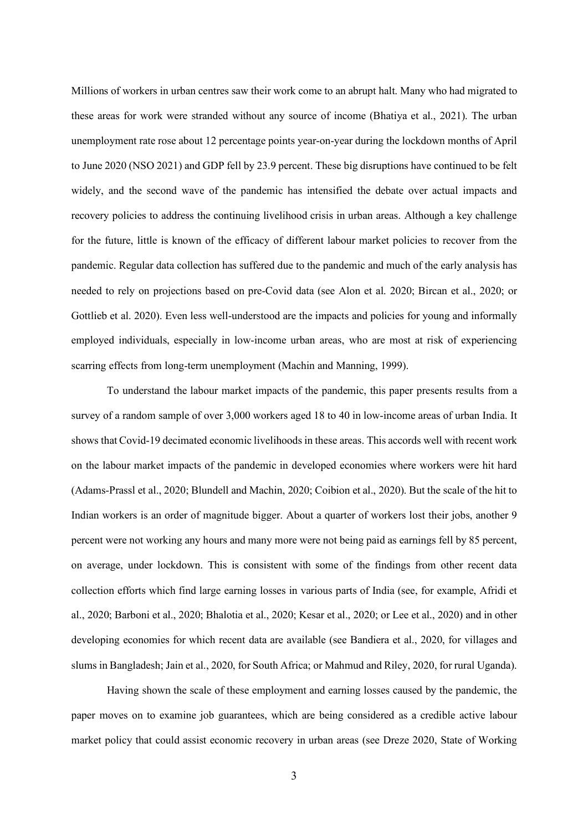Millions of workers in urban centres saw their work come to an abrupt halt. Many who had migrated to these areas for work were stranded without any source of income (Bhatiya et al., 2021). The urban unemployment rate rose about 12 percentage points year-on-year during the lockdown months of April to June 2020 (NSO 2021) and GDP fell by 23.9 percent. These big disruptions have continued to be felt widely, and the second wave of the pandemic has intensified the debate over actual impacts and recovery policies to address the continuing livelihood crisis in urban areas. Although a key challenge for the future, little is known of the efficacy of different labour market policies to recover from the pandemic. Regular data collection has suffered due to the pandemic and much of the early analysis has needed to rely on projections based on pre-Covid data (see Alon et al. 2020; Bircan et al., 2020; or Gottlieb et al. 2020). Even less well-understood are the impacts and policies for young and informally employed individuals, especially in low-income urban areas, who are most at risk of experiencing scarring effects from long-term unemployment (Machin and Manning, 1999).

To understand the labour market impacts of the pandemic, this paper presents results from a survey of a random sample of over 3,000 workers aged 18 to 40 in low-income areas of urban India. It shows that Covid-19 decimated economic livelihoods in these areas. This accords well with recent work on the labour market impacts of the pandemic in developed economies where workers were hit hard (Adams-Prassl et al., 2020; Blundell and Machin, 2020; Coibion et al., 2020). But the scale of the hit to Indian workers is an order of magnitude bigger. About a quarter of workers lost their jobs, another 9 percent were not working any hours and many more were not being paid as earnings fell by 85 percent, on average, under lockdown. This is consistent with some of the findings from other recent data collection efforts which find large earning losses in various parts of India (see, for example, Afridi et al., 2020; Barboni et al., 2020; Bhalotia et al., 2020; Kesar et al., 2020; or Lee et al., 2020) and in other developing economies for which recent data are available (see Bandiera et al., 2020, for villages and slums in Bangladesh; Jain et al., 2020, for South Africa; or Mahmud and Riley, 2020, for rural Uganda).

Having shown the scale of these employment and earning losses caused by the pandemic, the paper moves on to examine job guarantees, which are being considered as a credible active labour market policy that could assist economic recovery in urban areas (see Dreze 2020, State of Working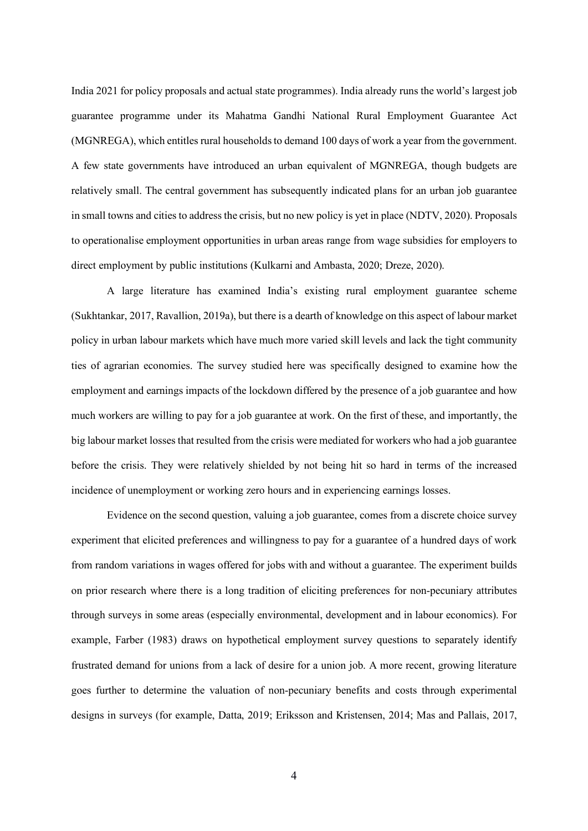India 2021 for policy proposals and actual state programmes). India already runs the world's largest job guarantee programme under its Mahatma Gandhi National Rural Employment Guarantee Act (MGNREGA), which entitles rural households to demand 100 days of work a year from the government. A few state governments have introduced an urban equivalent of MGNREGA, though budgets are relatively small. The central government has subsequently indicated plans for an urban job guarantee in small towns and cities to address the crisis, but no new policy is yet in place (NDTV, 2020). Proposals to operationalise employment opportunities in urban areas range from wage subsidies for employers to direct employment by public institutions (Kulkarni and Ambasta, 2020; Dreze, 2020).

A large literature has examined India's existing rural employment guarantee scheme (Sukhtankar, 2017, Ravallion, 2019a), but there is a dearth of knowledge on this aspect of labour market policy in urban labour markets which have much more varied skill levels and lack the tight community ties of agrarian economies. The survey studied here was specifically designed to examine how the employment and earnings impacts of the lockdown differed by the presence of a job guarantee and how much workers are willing to pay for a job guarantee at work. On the first of these, and importantly, the big labour market losses that resulted from the crisis were mediated for workers who had a job guarantee before the crisis. They were relatively shielded by not being hit so hard in terms of the increased incidence of unemployment or working zero hours and in experiencing earnings losses.

Evidence on the second question, valuing a job guarantee, comes from a discrete choice survey experiment that elicited preferences and willingness to pay for a guarantee of a hundred days of work from random variations in wages offered for jobs with and without a guarantee. The experiment builds on prior research where there is a long tradition of eliciting preferences for non-pecuniary attributes through surveys in some areas (especially environmental, development and in labour economics). For example, Farber (1983) draws on hypothetical employment survey questions to separately identify frustrated demand for unions from a lack of desire for a union job. A more recent, growing literature goes further to determine the valuation of non-pecuniary benefits and costs through experimental designs in surveys (for example, Datta, 2019; Eriksson and Kristensen, 2014; Mas and Pallais, 2017,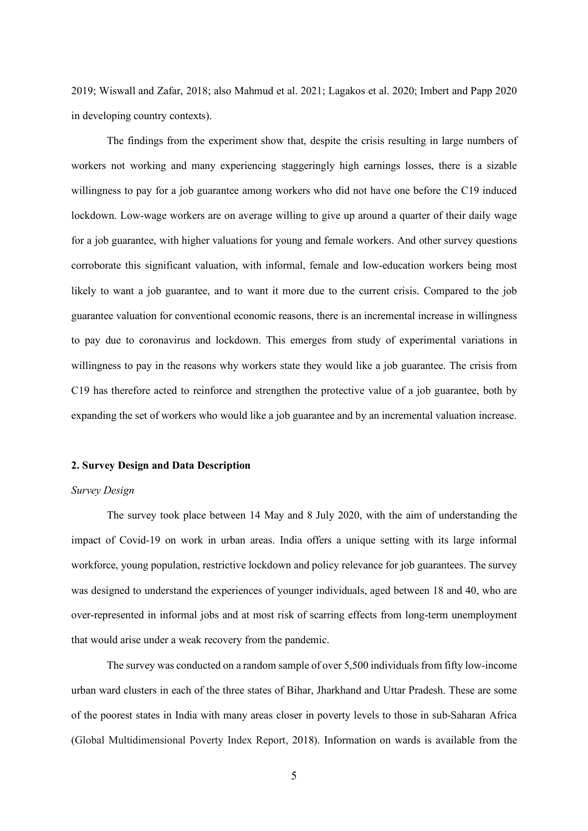2019; Wiswall and Zafar, 2018; also Mahmud et al. 2021; Lagakos et al. 2020; Imbert and Papp 2020 in developing country contexts).

The findings from the experiment show that, despite the crisis resulting in large numbers of workers not working and many experiencing staggeringly high earnings losses, there is a sizable willingness to pay for a job guarantee among workers who did not have one before the C19 induced lockdown. Low-wage workers are on average willing to give up around a quarter of their daily wage for a job guarantee, with higher valuations for young and female workers. And other survey questions corroborate this significant valuation, with informal, female and low-education workers being most likely to want a job guarantee, and to want it more due to the current crisis. Compared to the job guarantee valuation for conventional economic reasons, there is an incremental increase in willingness to pay due to coronavirus and lockdown. This emerges from study of experimental variations in willingness to pay in the reasons why workers state they would like a job guarantee. The crisis from C19 has therefore acted to reinforce and strengthen the protective value of a job guarantee, both by expanding the set of workers who would like a job guarantee and by an incremental valuation increase.

#### **2. Survey Design and Data Description**

### *Survey Design*

The survey took place between 14 May and 8 July 2020, with the aim of understanding the impact of Covid-19 on work in urban areas. India offers a unique setting with its large informal workforce, young population, restrictive lockdown and policy relevance for job guarantees. The survey was designed to understand the experiences of younger individuals, aged between 18 and 40, who are over-represented in informal jobs and at most risk of scarring effects from long-term unemployment that would arise under a weak recovery from the pandemic.

The survey was conducted on a random sample of over 5,500 individuals from fifty low-income urban ward clusters in each of the three states of Bihar, Jharkhand and Uttar Pradesh. These are some of the poorest states in India with many areas closer in poverty levels to those in sub-Saharan Africa (Global Multidimensional Poverty Index Report, 2018). Information on wards is available from the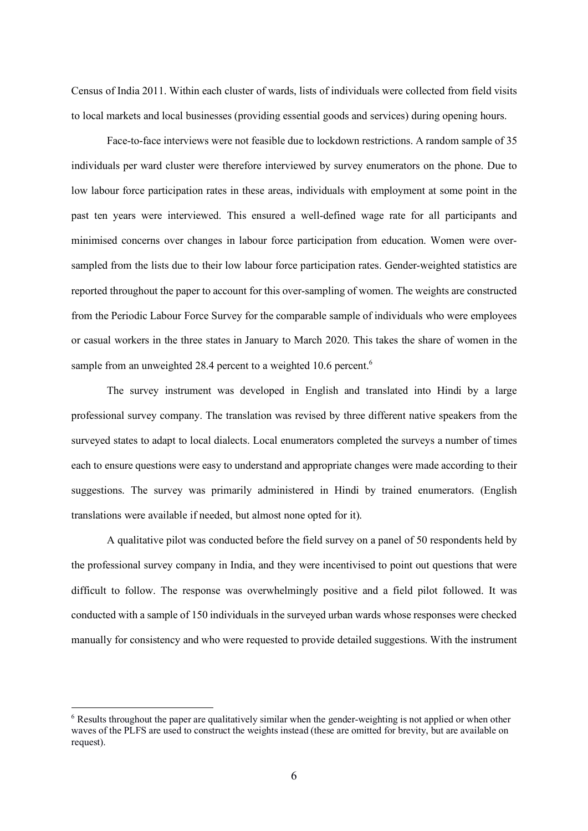Census of India 2011. Within each cluster of wards, lists of individuals were collected from field visits to local markets and local businesses (providing essential goods and services) during opening hours.

Face-to-face interviews were not feasible due to lockdown restrictions. A random sample of 35 individuals per ward cluster were therefore interviewed by survey enumerators on the phone. Due to low labour force participation rates in these areas, individuals with employment at some point in the past ten years were interviewed. This ensured a well-defined wage rate for all participants and minimised concerns over changes in labour force participation from education. Women were oversampled from the lists due to their low labour force participation rates. Gender-weighted statistics are reported throughout the paper to account for this over-sampling of women. The weights are constructed from the Periodic Labour Force Survey for the comparable sample of individuals who were employees or casual workers in the three states in January to March 2020. This takes the share of women in the sample from an unweighted 28.4 percent to a weighted 10.6 percent.<sup>6</sup>

The survey instrument was developed in English and translated into Hindi by a large professional survey company. The translation was revised by three different native speakers from the surveyed states to adapt to local dialects. Local enumerators completed the surveys a number of times each to ensure questions were easy to understand and appropriate changes were made according to their suggestions. The survey was primarily administered in Hindi by trained enumerators. (English translations were available if needed, but almost none opted for it).

A qualitative pilot was conducted before the field survey on a panel of 50 respondents held by the professional survey company in India, and they were incentivised to point out questions that were difficult to follow. The response was overwhelmingly positive and a field pilot followed. It was conducted with a sample of 150 individuals in the surveyed urban wards whose responses were checked manually for consistency and who were requested to provide detailed suggestions. With the instrument

 <sup>6</sup> Results throughout the paper are qualitatively similar when the gender-weighting is not applied or when other waves of the PLFS are used to construct the weights instead (these are omitted for brevity, but are available on request).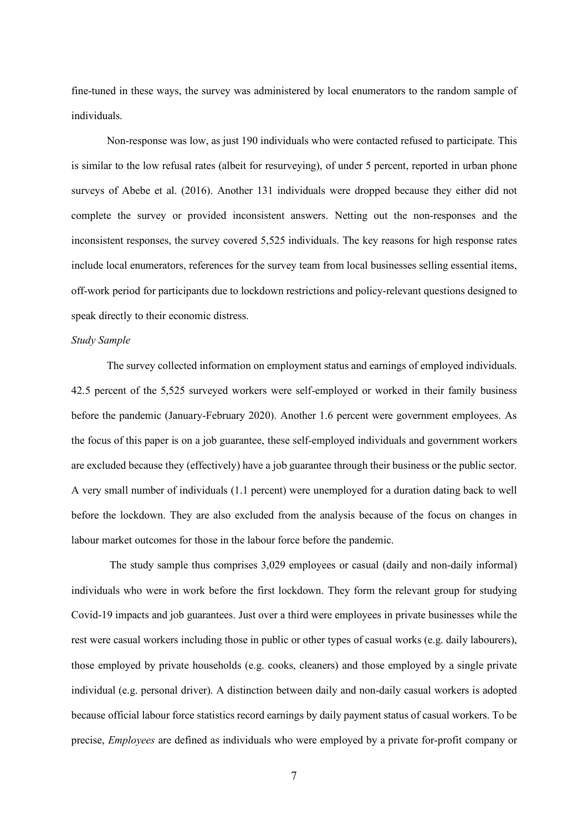fine-tuned in these ways, the survey was administered by local enumerators to the random sample of individuals.

Non-response was low, as just 190 individuals who were contacted refused to participate. This is similar to the low refusal rates (albeit for resurveying), of under 5 percent, reported in urban phone surveys of Abebe et al. (2016). Another 131 individuals were dropped because they either did not complete the survey or provided inconsistent answers. Netting out the non-responses and the inconsistent responses, the survey covered 5,525 individuals. The key reasons for high response rates include local enumerators, references for the survey team from local businesses selling essential items, off-work period for participants due to lockdown restrictions and policy-relevant questions designed to speak directly to their economic distress.

## *Study Sample*

The survey collected information on employment status and earnings of employed individuals. 42.5 percent of the 5,525 surveyed workers were self-employed or worked in their family business before the pandemic (January-February 2020). Another 1.6 percent were government employees. As the focus of this paper is on a job guarantee, these self-employed individuals and government workers are excluded because they (effectively) have a job guarantee through their business or the public sector. A very small number of individuals (1.1 percent) were unemployed for a duration dating back to well before the lockdown. They are also excluded from the analysis because of the focus on changes in labour market outcomes for those in the labour force before the pandemic.

The study sample thus comprises 3,029 employees or casual (daily and non-daily informal) individuals who were in work before the first lockdown. They form the relevant group for studying Covid-19 impacts and job guarantees. Just over a third were employees in private businesses while the rest were casual workers including those in public or other types of casual works (e.g. daily labourers), those employed by private households (e.g. cooks, cleaners) and those employed by a single private individual (e.g. personal driver). A distinction between daily and non-daily casual workers is adopted because official labour force statistics record earnings by daily payment status of casual workers. To be precise, *Employees* are defined as individuals who were employed by a private for-profit company or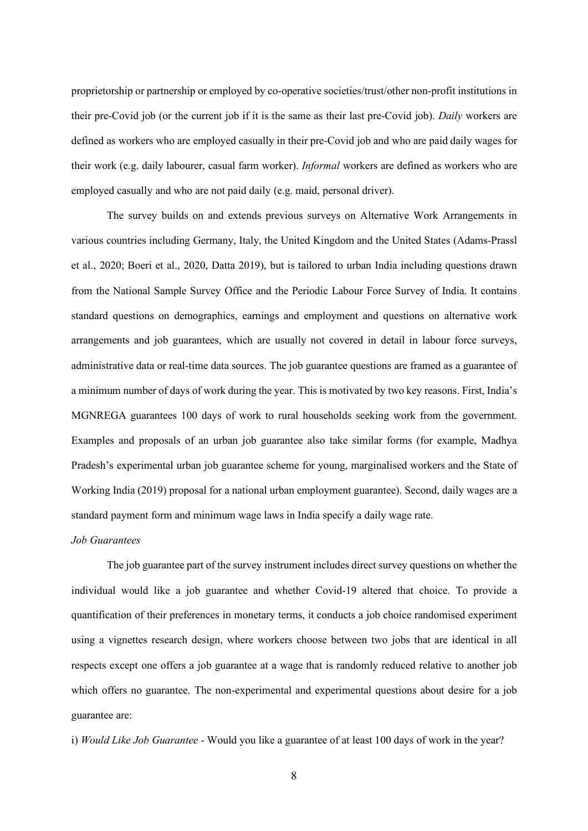proprietorship or partnership or employed by co-operative societies/trust/other non-profit institutions in their pre-Covid job (or the current job if it is the same as their last pre-Covid job). *Daily* workers are defined as workers who are employed casually in their pre-Covid job and who are paid daily wages for their work (e.g. daily labourer, casual farm worker). *Informal* workers are defined as workers who are employed casually and who are not paid daily (e.g. maid, personal driver).

The survey builds on and extends previous surveys on Alternative Work Arrangements in various countries including Germany, Italy, the United Kingdom and the United States (Adams-Prassl et al., 2020; Boeri et al., 2020, Datta 2019), but is tailored to urban India including questions drawn from the National Sample Survey Office and the Periodic Labour Force Survey of India. It contains standard questions on demographics, earnings and employment and questions on alternative work arrangements and job guarantees, which are usually not covered in detail in labour force surveys, administrative data or real-time data sources. The job guarantee questions are framed as a guarantee of a minimum number of days of work during the year. This is motivated by two key reasons. First, India's MGNREGA guarantees 100 days of work to rural households seeking work from the government. Examples and proposals of an urban job guarantee also take similar forms (for example, Madhya Pradesh's experimental urban job guarantee scheme for young, marginalised workers and the State of Working India (2019) proposal for a national urban employment guarantee). Second, daily wages are a standard payment form and minimum wage laws in India specify a daily wage rate.

## *Job Guarantees*

The job guarantee part of the survey instrument includes direct survey questions on whether the individual would like a job guarantee and whether Covid-19 altered that choice. To provide a quantification of their preferences in monetary terms, it conducts a job choice randomised experiment using a vignettes research design, where workers choose between two jobs that are identical in all respects except one offers a job guarantee at a wage that is randomly reduced relative to another job which offers no guarantee. The non-experimental and experimental questions about desire for a job guarantee are:

i) *Would Like Job Guarantee* - Would you like a guarantee of at least 100 days of work in the year?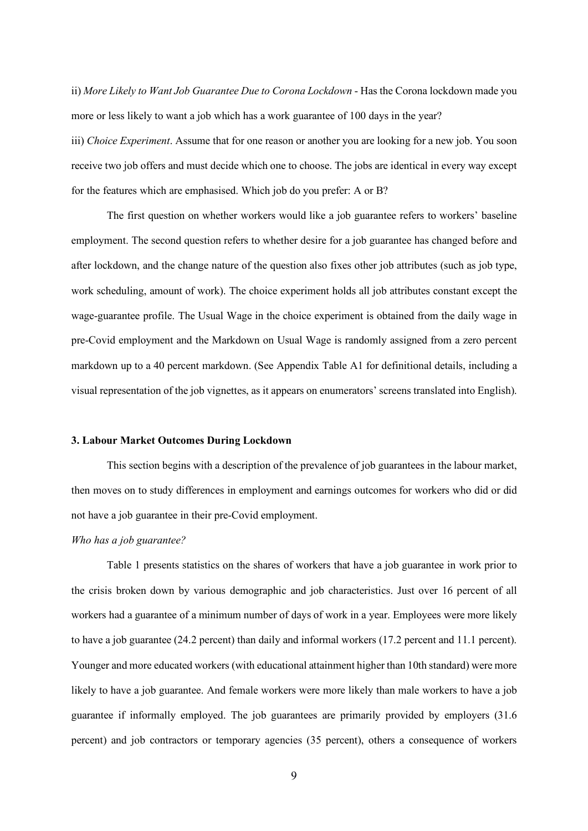ii) *More Likely to Want Job Guarantee Due to Corona Lockdown* - Has the Corona lockdown made you more or less likely to want a job which has a work guarantee of 100 days in the year?

iii) *Choice Experiment*. Assume that for one reason or another you are looking for a new job. You soon receive two job offers and must decide which one to choose. The jobs are identical in every way except for the features which are emphasised. Which job do you prefer: A or B?

The first question on whether workers would like a job guarantee refers to workers' baseline employment. The second question refers to whether desire for a job guarantee has changed before and after lockdown, and the change nature of the question also fixes other job attributes (such as job type, work scheduling, amount of work). The choice experiment holds all job attributes constant except the wage-guarantee profile. The Usual Wage in the choice experiment is obtained from the daily wage in pre-Covid employment and the Markdown on Usual Wage is randomly assigned from a zero percent markdown up to a 40 percent markdown. (See Appendix Table A1 for definitional details, including a visual representation of the job vignettes, as it appears on enumerators' screens translated into English).

#### **3. Labour Market Outcomes During Lockdown**

This section begins with a description of the prevalence of job guarantees in the labour market, then moves on to study differences in employment and earnings outcomes for workers who did or did not have a job guarantee in their pre-Covid employment.

## *Who has a job guarantee?*

Table 1 presents statistics on the shares of workers that have a job guarantee in work prior to the crisis broken down by various demographic and job characteristics. Just over 16 percent of all workers had a guarantee of a minimum number of days of work in a year. Employees were more likely to have a job guarantee (24.2 percent) than daily and informal workers (17.2 percent and 11.1 percent). Younger and more educated workers (with educational attainment higher than 10th standard) were more likely to have a job guarantee. And female workers were more likely than male workers to have a job guarantee if informally employed. The job guarantees are primarily provided by employers (31.6 percent) and job contractors or temporary agencies (35 percent), others a consequence of workers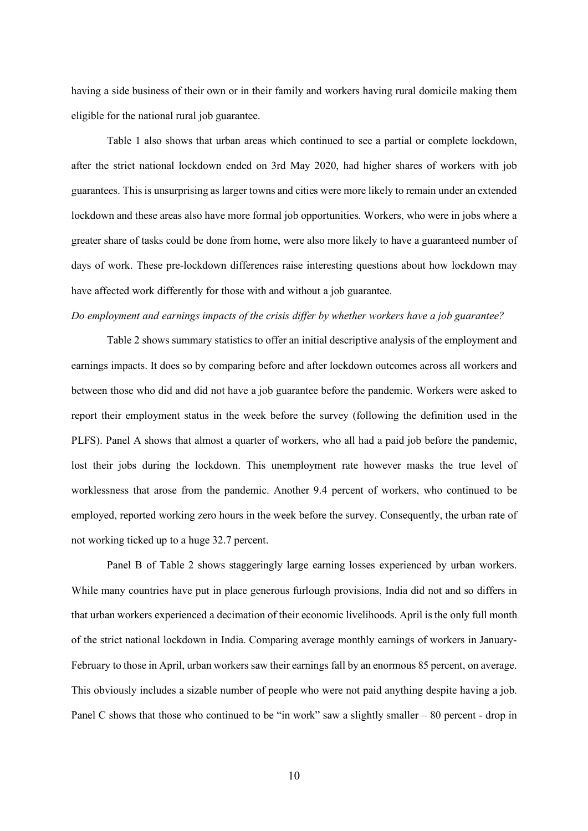having a side business of their own or in their family and workers having rural domicile making them eligible for the national rural job guarantee.

Table 1 also shows that urban areas which continued to see a partial or complete lockdown, after the strict national lockdown ended on 3rd May 2020, had higher shares of workers with job guarantees. This is unsurprising as larger towns and cities were more likely to remain under an extended lockdown and these areas also have more formal job opportunities. Workers, who were in jobs where a greater share of tasks could be done from home, were also more likely to have a guaranteed number of days of work. These pre-lockdown differences raise interesting questions about how lockdown may have affected work differently for those with and without a job guarantee.

## *Do employment and earnings impacts of the crisis differ by whether workers have a job guarantee?*

Table 2 shows summary statistics to offer an initial descriptive analysis of the employment and earnings impacts. It does so by comparing before and after lockdown outcomes across all workers and between those who did and did not have a job guarantee before the pandemic. Workers were asked to report their employment status in the week before the survey (following the definition used in the PLFS). Panel A shows that almost a quarter of workers, who all had a paid job before the pandemic, lost their jobs during the lockdown. This unemployment rate however masks the true level of worklessness that arose from the pandemic. Another 9.4 percent of workers, who continued to be employed, reported working zero hours in the week before the survey. Consequently, the urban rate of not working ticked up to a huge 32.7 percent.

Panel B of Table 2 shows staggeringly large earning losses experienced by urban workers. While many countries have put in place generous furlough provisions, India did not and so differs in that urban workers experienced a decimation of their economic livelihoods. April is the only full month of the strict national lockdown in India. Comparing average monthly earnings of workers in January-February to those in April, urban workers saw their earnings fall by an enormous 85 percent, on average. This obviously includes a sizable number of people who were not paid anything despite having a job. Panel C shows that those who continued to be "in work" saw a slightly smaller – 80 percent - drop in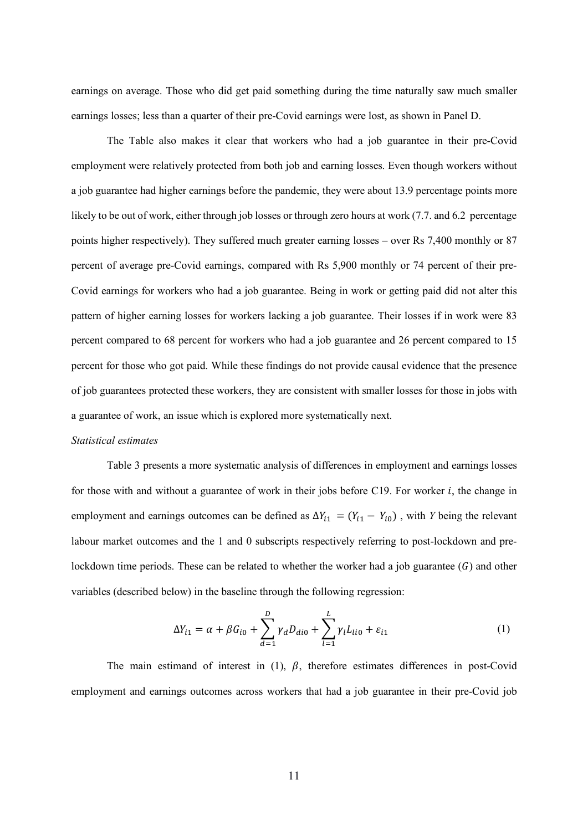earnings on average. Those who did get paid something during the time naturally saw much smaller earnings losses; less than a quarter of their pre-Covid earnings were lost, as shown in Panel D.

The Table also makes it clear that workers who had a job guarantee in their pre-Covid employment were relatively protected from both job and earning losses. Even though workers without a job guarantee had higher earnings before the pandemic, they were about 13.9 percentage points more likely to be out of work, either through job losses or through zero hours at work (7.7. and 6.2 percentage points higher respectively). They suffered much greater earning losses – over Rs 7,400 monthly or 87 percent of average pre-Covid earnings, compared with Rs 5,900 monthly or 74 percent of their pre-Covid earnings for workers who had a job guarantee. Being in work or getting paid did not alter this pattern of higher earning losses for workers lacking a job guarantee. Their losses if in work were 83 percent compared to 68 percent for workers who had a job guarantee and 26 percent compared to 15 percent for those who got paid. While these findings do not provide causal evidence that the presence of job guarantees protected these workers, they are consistent with smaller losses for those in jobs with a guarantee of work, an issue which is explored more systematically next.

#### *Statistical estimates*

Table 3 presents a more systematic analysis of differences in employment and earnings losses for those with and without a guarantee of work in their jobs before C19. For worker  $i$ , the change in employment and earnings outcomes can be defined as  $\Delta Y_{i1} = (Y_{i1} - Y_{i0})$ , with *Y* being the relevant labour market outcomes and the 1 and 0 subscripts respectively referring to post-lockdown and prelockdown time periods. These can be related to whether the worker had a job guarantee  $(G)$  and other variables (described below) in the baseline through the following regression:

$$
\Delta Y_{i1} = \alpha + \beta G_{i0} + \sum_{d=1}^{D} \gamma_d D_{di0} + \sum_{l=1}^{L} \gamma_l L_{li0} + \varepsilon_{i1}
$$
 (1)

The main estimand of interest in (1),  $\beta$ , therefore estimates differences in post-Covid employment and earnings outcomes across workers that had a job guarantee in their pre-Covid job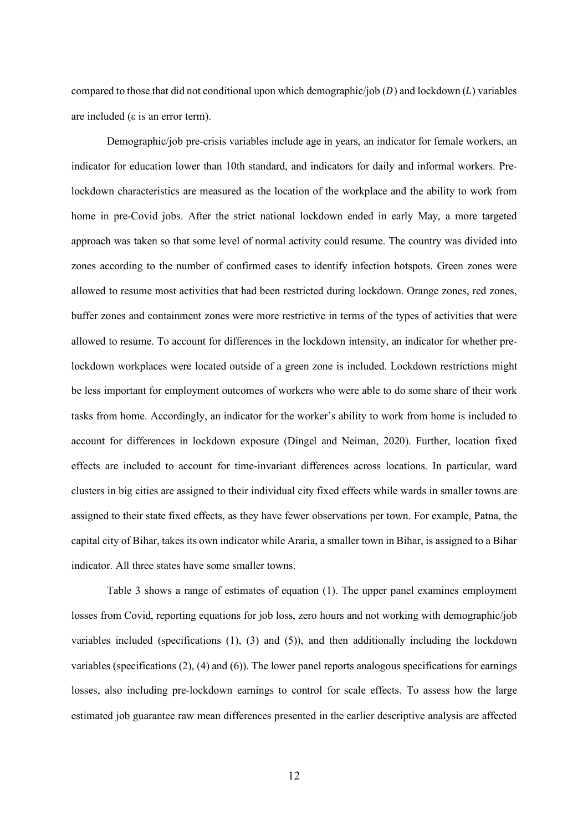compared to those that did not conditional upon which demographic/job  $(D)$  and lockdown  $(L)$  variables are included (ε is an error term).

Demographic/job pre-crisis variables include age in years, an indicator for female workers, an indicator for education lower than 10th standard, and indicators for daily and informal workers. Prelockdown characteristics are measured as the location of the workplace and the ability to work from home in pre-Covid jobs. After the strict national lockdown ended in early May, a more targeted approach was taken so that some level of normal activity could resume. The country was divided into zones according to the number of confirmed cases to identify infection hotspots. Green zones were allowed to resume most activities that had been restricted during lockdown. Orange zones, red zones, buffer zones and containment zones were more restrictive in terms of the types of activities that were allowed to resume. To account for differences in the lockdown intensity, an indicator for whether prelockdown workplaces were located outside of a green zone is included. Lockdown restrictions might be less important for employment outcomes of workers who were able to do some share of their work tasks from home. Accordingly, an indicator for the worker's ability to work from home is included to account for differences in lockdown exposure (Dingel and Neiman, 2020). Further, location fixed effects are included to account for time-invariant differences across locations. In particular, ward clusters in big cities are assigned to their individual city fixed effects while wards in smaller towns are assigned to their state fixed effects, as they have fewer observations per town. For example, Patna, the capital city of Bihar, takes its own indicator while Araria, a smaller town in Bihar, is assigned to a Bihar indicator. All three states have some smaller towns.

Table 3 shows a range of estimates of equation (1). The upper panel examines employment losses from Covid, reporting equations for job loss, zero hours and not working with demographic/job variables included (specifications (1), (3) and (5)), and then additionally including the lockdown variables (specifications (2), (4) and (6)). The lower panel reports analogous specifications for earnings losses, also including pre-lockdown earnings to control for scale effects. To assess how the large estimated job guarantee raw mean differences presented in the earlier descriptive analysis are affected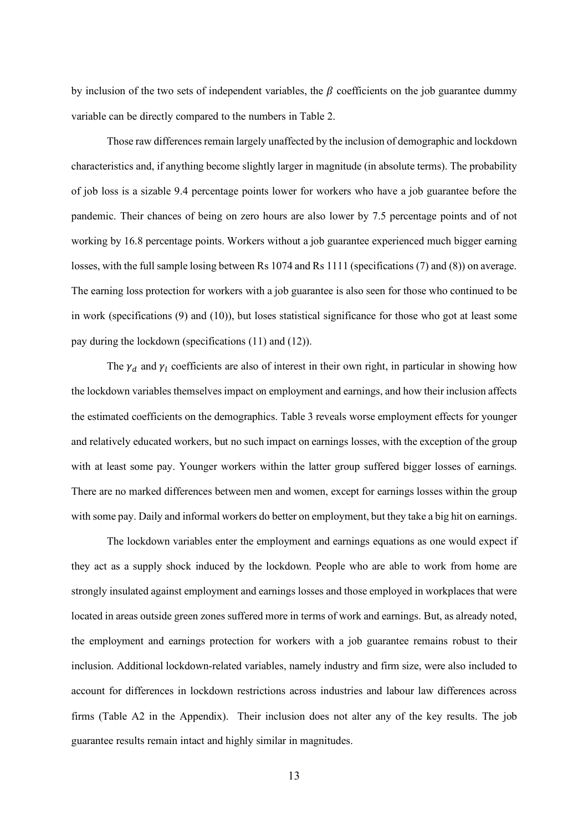by inclusion of the two sets of independent variables, the  $\beta$  coefficients on the job guarantee dummy variable can be directly compared to the numbers in Table 2.

Those raw differences remain largely unaffected by the inclusion of demographic and lockdown characteristics and, if anything become slightly larger in magnitude (in absolute terms). The probability of job loss is a sizable 9.4 percentage points lower for workers who have a job guarantee before the pandemic. Their chances of being on zero hours are also lower by 7.5 percentage points and of not working by 16.8 percentage points. Workers without a job guarantee experienced much bigger earning losses, with the full sample losing between Rs 1074 and Rs 1111 (specifications (7) and (8)) on average. The earning loss protection for workers with a job guarantee is also seen for those who continued to be in work (specifications (9) and (10)), but loses statistical significance for those who got at least some pay during the lockdown (specifications (11) and (12)).

The  $\gamma_d$  and  $\gamma_l$  coefficients are also of interest in their own right, in particular in showing how the lockdown variables themselves impact on employment and earnings, and how their inclusion affects the estimated coefficients on the demographics. Table 3 reveals worse employment effects for younger and relatively educated workers, but no such impact on earnings losses, with the exception of the group with at least some pay. Younger workers within the latter group suffered bigger losses of earnings. There are no marked differences between men and women, except for earnings losses within the group with some pay. Daily and informal workers do better on employment, but they take a big hit on earnings.

The lockdown variables enter the employment and earnings equations as one would expect if they act as a supply shock induced by the lockdown. People who are able to work from home are strongly insulated against employment and earnings losses and those employed in workplaces that were located in areas outside green zones suffered more in terms of work and earnings. But, as already noted, the employment and earnings protection for workers with a job guarantee remains robust to their inclusion. Additional lockdown-related variables, namely industry and firm size, were also included to account for differences in lockdown restrictions across industries and labour law differences across firms (Table A2 in the Appendix). Their inclusion does not alter any of the key results. The job guarantee results remain intact and highly similar in magnitudes.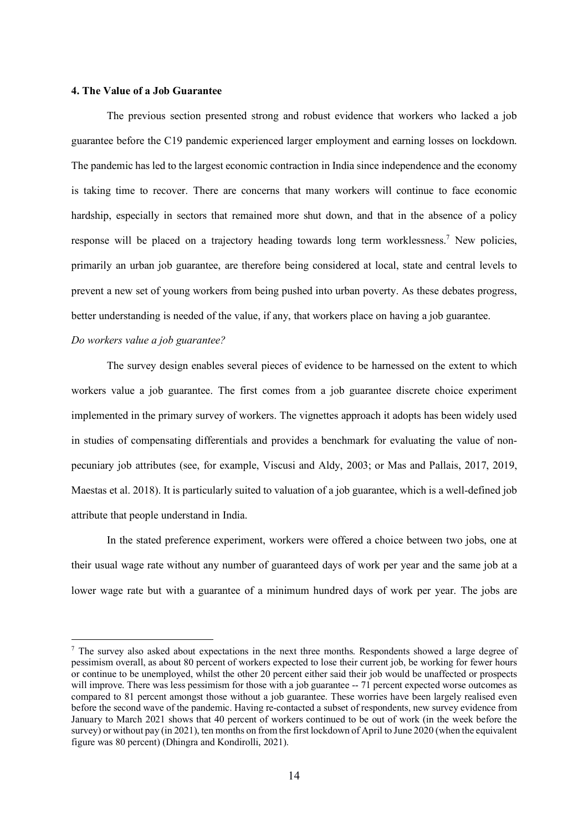## **4. The Value of a Job Guarantee**

The previous section presented strong and robust evidence that workers who lacked a job guarantee before the C19 pandemic experienced larger employment and earning losses on lockdown. The pandemic has led to the largest economic contraction in India since independence and the economy is taking time to recover. There are concerns that many workers will continue to face economic hardship, especially in sectors that remained more shut down, and that in the absence of a policy response will be placed on a trajectory heading towards long term worklessness.<sup>7</sup> New policies, primarily an urban job guarantee, are therefore being considered at local, state and central levels to prevent a new set of young workers from being pushed into urban poverty. As these debates progress, better understanding is needed of the value, if any, that workers place on having a job guarantee.

#### *Do workers value a job guarantee?*

The survey design enables several pieces of evidence to be harnessed on the extent to which workers value a job guarantee. The first comes from a job guarantee discrete choice experiment implemented in the primary survey of workers. The vignettes approach it adopts has been widely used in studies of compensating differentials and provides a benchmark for evaluating the value of nonpecuniary job attributes (see, for example, Viscusi and Aldy, 2003; or Mas and Pallais, 2017, 2019, Maestas et al. 2018). It is particularly suited to valuation of a job guarantee, which is a well-defined job attribute that people understand in India.

In the stated preference experiment, workers were offered a choice between two jobs, one at their usual wage rate without any number of guaranteed days of work per year and the same job at a lower wage rate but with a guarantee of a minimum hundred days of work per year. The jobs are

 <sup>7</sup> The survey also asked about expectations in the next three months. Respondents showed a large degree of pessimism overall, as about 80 percent of workers expected to lose their current job, be working for fewer hours or continue to be unemployed, whilst the other 20 percent either said their job would be unaffected or prospects will improve. There was less pessimism for those with a job guarantee -- 71 percent expected worse outcomes as compared to 81 percent amongst those without a job guarantee. These worries have been largely realised even before the second wave of the pandemic. Having re-contacted a subset of respondents, new survey evidence from January to March 2021 shows that 40 percent of workers continued to be out of work (in the week before the survey) or without pay (in 2021), ten months on from the first lockdown of April to June 2020 (when the equivalent figure was 80 percent) (Dhingra and Kondirolli, 2021).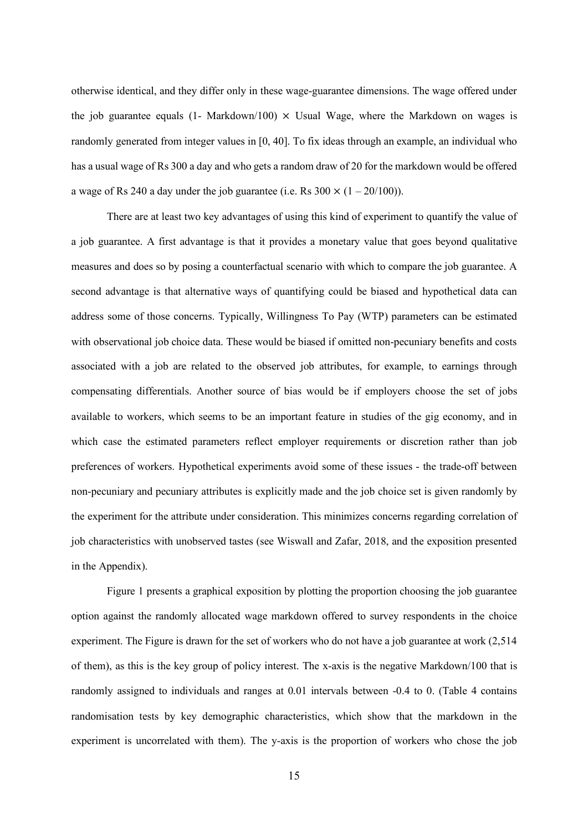otherwise identical, and they differ only in these wage-guarantee dimensions. The wage offered under the job guarantee equals  $(1 - \text{Markdown}/100) \times \text{Usual Wave}$ , where the Markdown on wages is randomly generated from integer values in [0, 40]. To fix ideas through an example, an individual who has a usual wage of Rs 300 a day and who gets a random draw of 20 for the markdown would be offered a wage of Rs 240 a day under the job guarantee (i.e. Rs  $300 \times (1 - 20/100)$ ).

There are at least two key advantages of using this kind of experiment to quantify the value of a job guarantee. A first advantage is that it provides a monetary value that goes beyond qualitative measures and does so by posing a counterfactual scenario with which to compare the job guarantee. A second advantage is that alternative ways of quantifying could be biased and hypothetical data can address some of those concerns. Typically, Willingness To Pay (WTP) parameters can be estimated with observational job choice data. These would be biased if omitted non-pecuniary benefits and costs associated with a job are related to the observed job attributes, for example, to earnings through compensating differentials. Another source of bias would be if employers choose the set of jobs available to workers, which seems to be an important feature in studies of the gig economy, and in which case the estimated parameters reflect employer requirements or discretion rather than job preferences of workers. Hypothetical experiments avoid some of these issues - the trade-off between non-pecuniary and pecuniary attributes is explicitly made and the job choice set is given randomly by the experiment for the attribute under consideration. This minimizes concerns regarding correlation of job characteristics with unobserved tastes (see Wiswall and Zafar, 2018, and the exposition presented in the Appendix).

Figure 1 presents a graphical exposition by plotting the proportion choosing the job guarantee option against the randomly allocated wage markdown offered to survey respondents in the choice experiment. The Figure is drawn for the set of workers who do not have a job guarantee at work (2,514 of them), as this is the key group of policy interest. The x-axis is the negative Markdown/100 that is randomly assigned to individuals and ranges at 0.01 intervals between -0.4 to 0. (Table 4 contains randomisation tests by key demographic characteristics, which show that the markdown in the experiment is uncorrelated with them). The y-axis is the proportion of workers who chose the job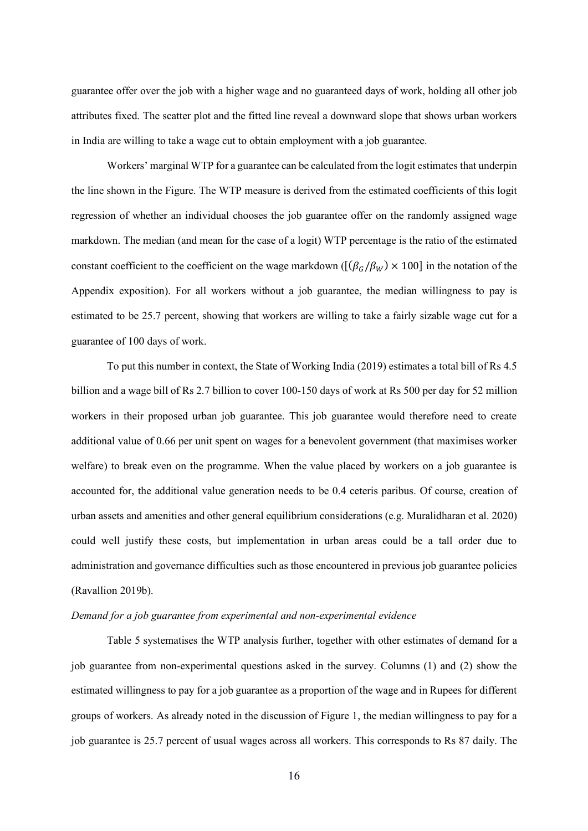guarantee offer over the job with a higher wage and no guaranteed days of work, holding all other job attributes fixed. The scatter plot and the fitted line reveal a downward slope that shows urban workers in India are willing to take a wage cut to obtain employment with a job guarantee.

Workers' marginal WTP for a guarantee can be calculated from the logit estimates that underpin the line shown in the Figure. The WTP measure is derived from the estimated coefficients of this logit regression of whether an individual chooses the job guarantee offer on the randomly assigned wage markdown. The median (and mean for the case of a logit) WTP percentage is the ratio of the estimated constant coefficient to the coefficient on the wage markdown ( $[(\beta_G/\beta_W) \times 100]$  in the notation of the Appendix exposition). For all workers without a job guarantee, the median willingness to pay is estimated to be 25.7 percent, showing that workers are willing to take a fairly sizable wage cut for a guarantee of 100 days of work.

To put this number in context, the State of Working India (2019) estimates a total bill of Rs 4.5 billion and a wage bill of Rs 2.7 billion to cover 100-150 days of work at Rs 500 per day for 52 million workers in their proposed urban job guarantee. This job guarantee would therefore need to create additional value of 0.66 per unit spent on wages for a benevolent government (that maximises worker welfare) to break even on the programme. When the value placed by workers on a job guarantee is accounted for, the additional value generation needs to be 0.4 ceteris paribus. Of course, creation of urban assets and amenities and other general equilibrium considerations (e.g. Muralidharan et al. 2020) could well justify these costs, but implementation in urban areas could be a tall order due to administration and governance difficulties such as those encountered in previous job guarantee policies (Ravallion 2019b).

#### *Demand for a job guarantee from experimental and non-experimental evidence*

Table 5 systematises the WTP analysis further, together with other estimates of demand for a job guarantee from non-experimental questions asked in the survey. Columns (1) and (2) show the estimated willingness to pay for a job guarantee as a proportion of the wage and in Rupees for different groups of workers. As already noted in the discussion of Figure 1, the median willingness to pay for a job guarantee is 25.7 percent of usual wages across all workers. This corresponds to Rs 87 daily. The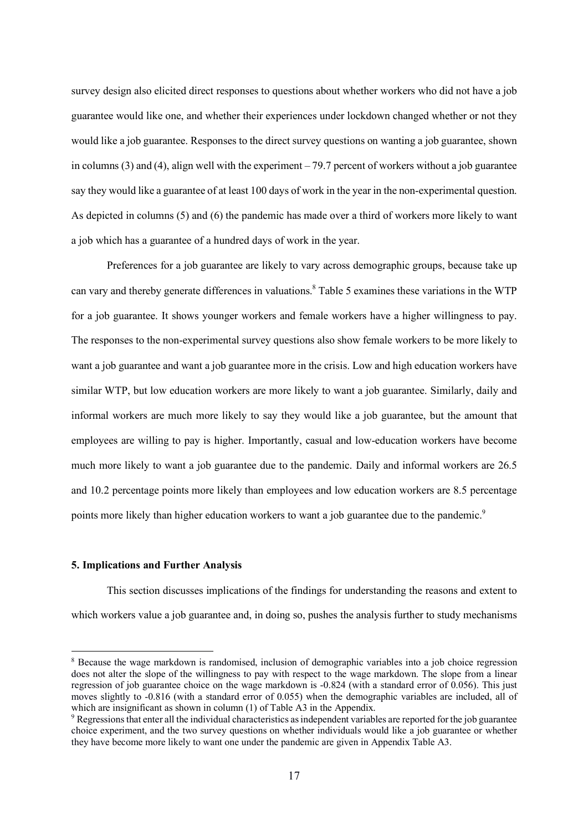survey design also elicited direct responses to questions about whether workers who did not have a job guarantee would like one, and whether their experiences under lockdown changed whether or not they would like a job guarantee. Responses to the direct survey questions on wanting a job guarantee, shown in columns (3) and (4), align well with the experiment  $-79.7$  percent of workers without a job guarantee say they would like a guarantee of at least 100 days of work in the year in the non-experimental question. As depicted in columns (5) and (6) the pandemic has made over a third of workers more likely to want a job which has a guarantee of a hundred days of work in the year.

Preferences for a job guarantee are likely to vary across demographic groups, because take up can vary and thereby generate differences in valuations. <sup>8</sup> Table 5 examines these variations in the WTP for a job guarantee. It shows younger workers and female workers have a higher willingness to pay. The responses to the non-experimental survey questions also show female workers to be more likely to want a job guarantee and want a job guarantee more in the crisis. Low and high education workers have similar WTP, but low education workers are more likely to want a job guarantee. Similarly, daily and informal workers are much more likely to say they would like a job guarantee, but the amount that employees are willing to pay is higher. Importantly, casual and low-education workers have become much more likely to want a job guarantee due to the pandemic. Daily and informal workers are 26.5 and 10.2 percentage points more likely than employees and low education workers are 8.5 percentage points more likely than higher education workers to want a job guarantee due to the pandemic.<sup>9</sup>

#### **5. Implications and Further Analysis**

This section discusses implications of the findings for understanding the reasons and extent to which workers value a job guarantee and, in doing so, pushes the analysis further to study mechanisms

 <sup>8</sup> Because the wage markdown is randomised, inclusion of demographic variables into a job choice regression does not alter the slope of the willingness to pay with respect to the wage markdown. The slope from a linear regression of job guarantee choice on the wage markdown is -0.824 (with a standard error of 0.056). This just moves slightly to -0.816 (with a standard error of 0.055) when the demographic variables are included, all of which are insignificant as shown in column (1) of Table A3 in the Appendix.

<sup>9</sup> Regressions that enter all the individual characteristics as independent variables are reported for the job guarantee choice experiment, and the two survey questions on whether individuals would like a job guarantee or whether they have become more likely to want one under the pandemic are given in Appendix Table A3.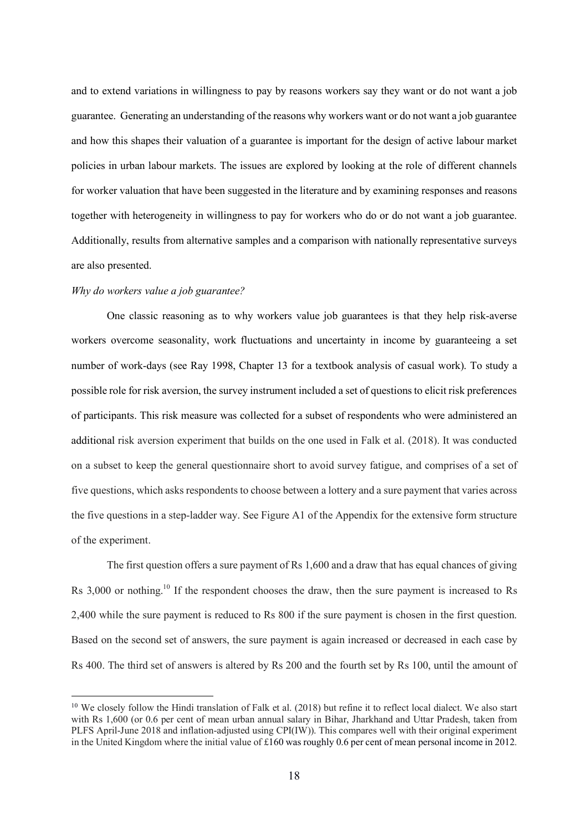and to extend variations in willingness to pay by reasons workers say they want or do not want a job guarantee. Generating an understanding of the reasons why workers want or do not want a job guarantee and how this shapes their valuation of a guarantee is important for the design of active labour market policies in urban labour markets. The issues are explored by looking at the role of different channels for worker valuation that have been suggested in the literature and by examining responses and reasons together with heterogeneity in willingness to pay for workers who do or do not want a job guarantee. Additionally, results from alternative samples and a comparison with nationally representative surveys are also presented.

### *Why do workers value a job guarantee?*

One classic reasoning as to why workers value job guarantees is that they help risk-averse workers overcome seasonality, work fluctuations and uncertainty in income by guaranteeing a set number of work-days (see Ray 1998, Chapter 13 for a textbook analysis of casual work). To study a possible role for risk aversion, the survey instrument included a set of questions to elicit risk preferences of participants. This risk measure was collected for a subset of respondents who were administered an additional risk aversion experiment that builds on the one used in Falk et al. (2018). It was conducted on a subset to keep the general questionnaire short to avoid survey fatigue, and comprises of a set of five questions, which asks respondents to choose between a lottery and a sure payment that varies across the five questions in a step-ladder way. See Figure A1 of the Appendix for the extensive form structure of the experiment.

The first question offers a sure payment of Rs 1,600 and a draw that has equal chances of giving Rs 3,000 or nothing.<sup>10</sup> If the respondent chooses the draw, then the sure payment is increased to Rs 2,400 while the sure payment is reduced to Rs 800 if the sure payment is chosen in the first question. Based on the second set of answers, the sure payment is again increased or decreased in each case by Rs 400. The third set of answers is altered by Rs 200 and the fourth set by Rs 100, until the amount of

<sup>&</sup>lt;sup>10</sup> We closely follow the Hindi translation of Falk et al. (2018) but refine it to reflect local dialect. We also start with Rs 1,600 (or 0.6 per cent of mean urban annual salary in Bihar, Jharkhand and Uttar Pradesh, taken from PLFS April-June 2018 and inflation-adjusted using CPI(IW)). This compares well with their original experiment in the United Kingdom where the initial value of £160 was roughly 0.6 per cent of mean personal income in 2012.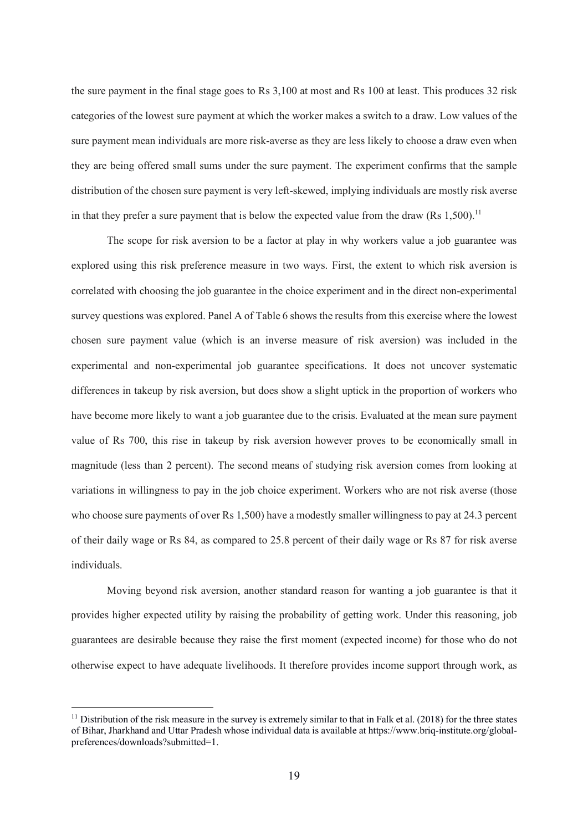the sure payment in the final stage goes to Rs 3,100 at most and Rs 100 at least. This produces 32 risk categories of the lowest sure payment at which the worker makes a switch to a draw. Low values of the sure payment mean individuals are more risk-averse as they are less likely to choose a draw even when they are being offered small sums under the sure payment. The experiment confirms that the sample distribution of the chosen sure payment is very left-skewed, implying individuals are mostly risk averse in that they prefer a sure payment that is below the expected value from the draw  $(Rs\ 1,500)^{11}$ 

The scope for risk aversion to be a factor at play in why workers value a job guarantee was explored using this risk preference measure in two ways. First, the extent to which risk aversion is correlated with choosing the job guarantee in the choice experiment and in the direct non-experimental survey questions was explored. Panel A of Table 6 shows the results from this exercise where the lowest chosen sure payment value (which is an inverse measure of risk aversion) was included in the experimental and non-experimental job guarantee specifications. It does not uncover systematic differences in takeup by risk aversion, but does show a slight uptick in the proportion of workers who have become more likely to want a job guarantee due to the crisis. Evaluated at the mean sure payment value of Rs 700, this rise in takeup by risk aversion however proves to be economically small in magnitude (less than 2 percent). The second means of studying risk aversion comes from looking at variations in willingness to pay in the job choice experiment. Workers who are not risk averse (those who choose sure payments of over Rs 1,500) have a modestly smaller willingness to pay at 24.3 percent of their daily wage or Rs 84, as compared to 25.8 percent of their daily wage or Rs 87 for risk averse individuals.

Moving beyond risk aversion, another standard reason for wanting a job guarantee is that it provides higher expected utility by raising the probability of getting work. Under this reasoning, job guarantees are desirable because they raise the first moment (expected income) for those who do not otherwise expect to have adequate livelihoods. It therefore provides income support through work, as

 $11$  Distribution of the risk measure in the survey is extremely similar to that in Falk et al. (2018) for the three states of Bihar, Jharkhand and Uttar Pradesh whose individual data is available at https://www.briq-institute.org/globalpreferences/downloads?submitted=1.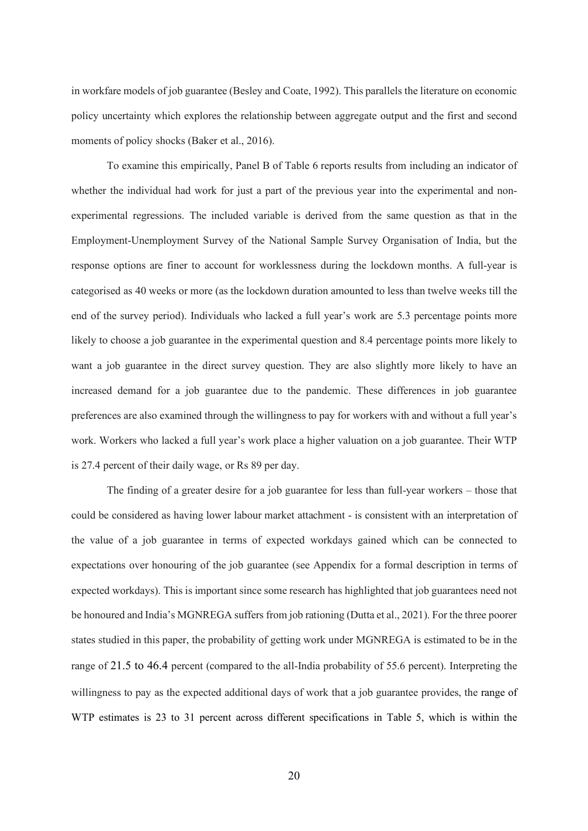in workfare models of job guarantee (Besley and Coate, 1992). This parallels the literature on economic policy uncertainty which explores the relationship between aggregate output and the first and second moments of policy shocks (Baker et al., 2016).

To examine this empirically, Panel B of Table 6 reports results from including an indicator of whether the individual had work for just a part of the previous year into the experimental and nonexperimental regressions. The included variable is derived from the same question as that in the Employment-Unemployment Survey of the National Sample Survey Organisation of India, but the response options are finer to account for worklessness during the lockdown months. A full-year is categorised as 40 weeks or more (as the lockdown duration amounted to less than twelve weeks till the end of the survey period). Individuals who lacked a full year's work are 5.3 percentage points more likely to choose a job guarantee in the experimental question and 8.4 percentage points more likely to want a job guarantee in the direct survey question. They are also slightly more likely to have an increased demand for a job guarantee due to the pandemic. These differences in job guarantee preferences are also examined through the willingness to pay for workers with and without a full year's work. Workers who lacked a full year's work place a higher valuation on a job guarantee. Their WTP is 27.4 percent of their daily wage, or Rs 89 per day.

The finding of a greater desire for a job guarantee for less than full-year workers – those that could be considered as having lower labour market attachment - is consistent with an interpretation of the value of a job guarantee in terms of expected workdays gained which can be connected to expectations over honouring of the job guarantee (see Appendix for a formal description in terms of expected workdays). This is important since some research has highlighted that job guarantees need not be honoured and India's MGNREGA suffers from job rationing (Dutta et al., 2021). For the three poorer states studied in this paper, the probability of getting work under MGNREGA is estimated to be in the range of 21.5 to 46.4 percent (compared to the all-India probability of 55.6 percent). Interpreting the willingness to pay as the expected additional days of work that a job guarantee provides, the range of WTP estimates is 23 to 31 percent across different specifications in Table 5, which is within the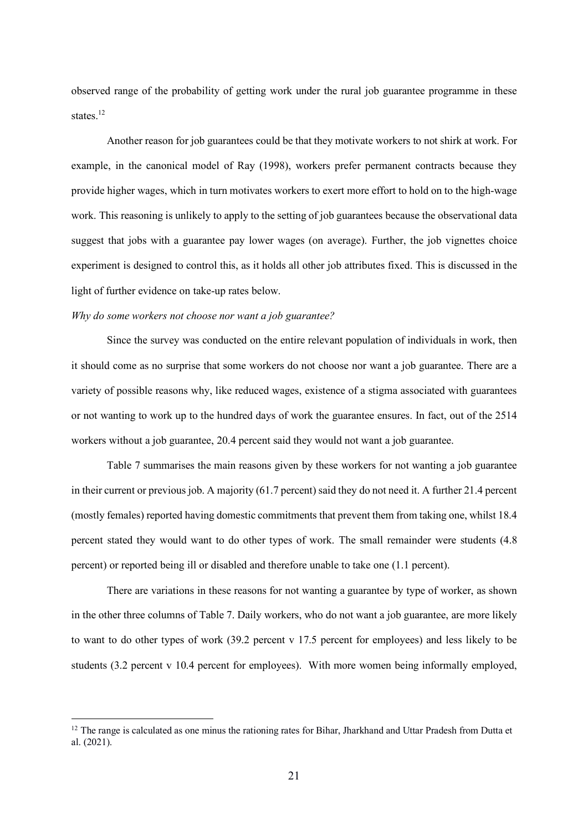observed range of the probability of getting work under the rural job guarantee programme in these states. 12

Another reason for job guarantees could be that they motivate workers to not shirk at work. For example, in the canonical model of Ray (1998), workers prefer permanent contracts because they provide higher wages, which in turn motivates workers to exert more effort to hold on to the high-wage work. This reasoning is unlikely to apply to the setting of job guarantees because the observational data suggest that jobs with a guarantee pay lower wages (on average). Further, the job vignettes choice experiment is designed to control this, as it holds all other job attributes fixed. This is discussed in the light of further evidence on take-up rates below.

## *Why do some workers not choose nor want a job guarantee?*

Since the survey was conducted on the entire relevant population of individuals in work, then it should come as no surprise that some workers do not choose nor want a job guarantee. There are a variety of possible reasons why, like reduced wages, existence of a stigma associated with guarantees or not wanting to work up to the hundred days of work the guarantee ensures. In fact, out of the 2514 workers without a job guarantee, 20.4 percent said they would not want a job guarantee.

Table 7 summarises the main reasons given by these workers for not wanting a job guarantee in their current or previous job. A majority (61.7 percent) said they do not need it. A further 21.4 percent (mostly females) reported having domestic commitments that prevent them from taking one, whilst 18.4 percent stated they would want to do other types of work. The small remainder were students (4.8 percent) or reported being ill or disabled and therefore unable to take one (1.1 percent).

There are variations in these reasons for not wanting a guarantee by type of worker, as shown in the other three columns of Table 7. Daily workers, who do not want a job guarantee, are more likely to want to do other types of work (39.2 percent v 17.5 percent for employees) and less likely to be students (3.2 percent v 10.4 percent for employees). With more women being informally employed,

 $12$  The range is calculated as one minus the rationing rates for Bihar, Jharkhand and Uttar Pradesh from Dutta et al. (2021).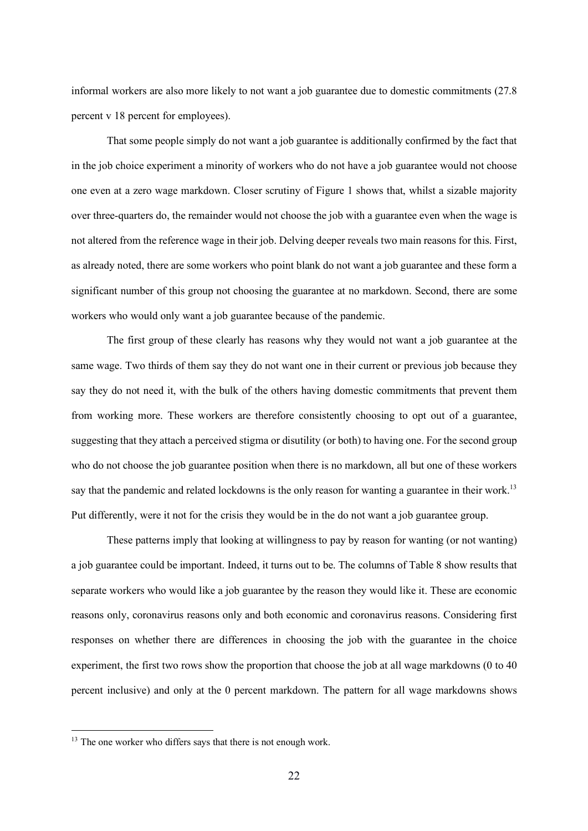informal workers are also more likely to not want a job guarantee due to domestic commitments (27.8 percent v 18 percent for employees).

That some people simply do not want a job guarantee is additionally confirmed by the fact that in the job choice experiment a minority of workers who do not have a job guarantee would not choose one even at a zero wage markdown. Closer scrutiny of Figure 1 shows that, whilst a sizable majority over three-quarters do, the remainder would not choose the job with a guarantee even when the wage is not altered from the reference wage in their job. Delving deeper reveals two main reasons for this. First, as already noted, there are some workers who point blank do not want a job guarantee and these form a significant number of this group not choosing the guarantee at no markdown. Second, there are some workers who would only want a job guarantee because of the pandemic.

The first group of these clearly has reasons why they would not want a job guarantee at the same wage. Two thirds of them say they do not want one in their current or previous job because they say they do not need it, with the bulk of the others having domestic commitments that prevent them from working more. These workers are therefore consistently choosing to opt out of a guarantee, suggesting that they attach a perceived stigma or disutility (or both) to having one. For the second group who do not choose the job guarantee position when there is no markdown, all but one of these workers say that the pandemic and related lockdowns is the only reason for wanting a guarantee in their work.<sup>13</sup> Put differently, were it not for the crisis they would be in the do not want a job guarantee group.

These patterns imply that looking at willingness to pay by reason for wanting (or not wanting) a job guarantee could be important. Indeed, it turns out to be. The columns of Table 8 show results that separate workers who would like a job guarantee by the reason they would like it. These are economic reasons only, coronavirus reasons only and both economic and coronavirus reasons. Considering first responses on whether there are differences in choosing the job with the guarantee in the choice experiment, the first two rows show the proportion that choose the job at all wage markdowns (0 to 40 percent inclusive) and only at the 0 percent markdown. The pattern for all wage markdowns shows

<sup>&</sup>lt;sup>13</sup> The one worker who differs says that there is not enough work.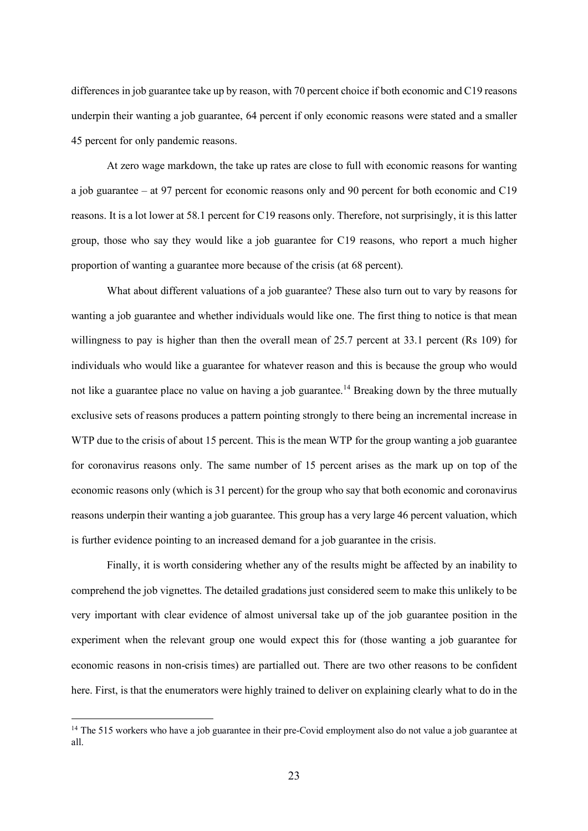differences in job guarantee take up by reason, with 70 percent choice if both economic and C19 reasons underpin their wanting a job guarantee, 64 percent if only economic reasons were stated and a smaller 45 percent for only pandemic reasons.

At zero wage markdown, the take up rates are close to full with economic reasons for wanting a job guarantee – at 97 percent for economic reasons only and 90 percent for both economic and C19 reasons. It is a lot lower at 58.1 percent for C19 reasons only. Therefore, not surprisingly, it is this latter group, those who say they would like a job guarantee for C19 reasons, who report a much higher proportion of wanting a guarantee more because of the crisis (at 68 percent).

What about different valuations of a job guarantee? These also turn out to vary by reasons for wanting a job guarantee and whether individuals would like one. The first thing to notice is that mean willingness to pay is higher than then the overall mean of 25.7 percent at 33.1 percent (Rs 109) for individuals who would like a guarantee for whatever reason and this is because the group who would not like a guarantee place no value on having a job guarantee.<sup>14</sup> Breaking down by the three mutually exclusive sets of reasons produces a pattern pointing strongly to there being an incremental increase in WTP due to the crisis of about 15 percent. This is the mean WTP for the group wanting a job guarantee for coronavirus reasons only. The same number of 15 percent arises as the mark up on top of the economic reasons only (which is 31 percent) for the group who say that both economic and coronavirus reasons underpin their wanting a job guarantee. This group has a very large 46 percent valuation, which is further evidence pointing to an increased demand for a job guarantee in the crisis.

Finally, it is worth considering whether any of the results might be affected by an inability to comprehend the job vignettes. The detailed gradations just considered seem to make this unlikely to be very important with clear evidence of almost universal take up of the job guarantee position in the experiment when the relevant group one would expect this for (those wanting a job guarantee for economic reasons in non-crisis times) are partialled out. There are two other reasons to be confident here. First, is that the enumerators were highly trained to deliver on explaining clearly what to do in the

<sup>&</sup>lt;sup>14</sup> The 515 workers who have a job guarantee in their pre-Covid employment also do not value a job guarantee at all.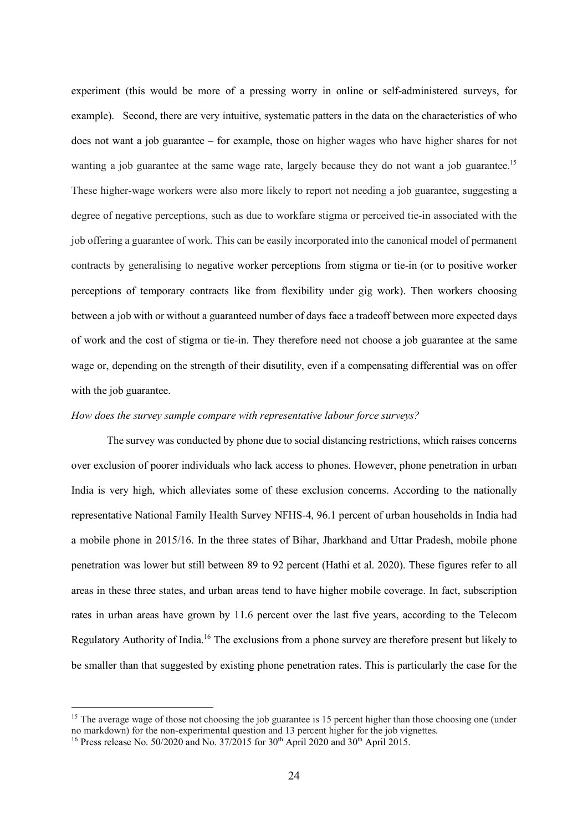experiment (this would be more of a pressing worry in online or self-administered surveys, for example). Second, there are very intuitive, systematic patters in the data on the characteristics of who does not want a job guarantee – for example, those on higher wages who have higher shares for not wanting a job guarantee at the same wage rate, largely because they do not want a job guarantee.<sup>15</sup> These higher-wage workers were also more likely to report not needing a job guarantee, suggesting a degree of negative perceptions, such as due to workfare stigma or perceived tie-in associated with the job offering a guarantee of work. This can be easily incorporated into the canonical model of permanent contracts by generalising to negative worker perceptions from stigma or tie-in (or to positive worker perceptions of temporary contracts like from flexibility under gig work). Then workers choosing between a job with or without a guaranteed number of days face a tradeoff between more expected days of work and the cost of stigma or tie-in. They therefore need not choose a job guarantee at the same wage or, depending on the strength of their disutility, even if a compensating differential was on offer with the job guarantee.

## *How does the survey sample compare with representative labour force surveys?*

The survey was conducted by phone due to social distancing restrictions, which raises concerns over exclusion of poorer individuals who lack access to phones. However, phone penetration in urban India is very high, which alleviates some of these exclusion concerns. According to the nationally representative National Family Health Survey NFHS-4, 96.1 percent of urban households in India had a mobile phone in 2015/16. In the three states of Bihar, Jharkhand and Uttar Pradesh, mobile phone penetration was lower but still between 89 to 92 percent (Hathi et al. 2020). These figures refer to all areas in these three states, and urban areas tend to have higher mobile coverage. In fact, subscription rates in urban areas have grown by 11.6 percent over the last five years, according to the Telecom Regulatory Authority of India.16 The exclusions from a phone survey are therefore present but likely to be smaller than that suggested by existing phone penetration rates. This is particularly the case for the

<sup>&</sup>lt;sup>15</sup> The average wage of those not choosing the job guarantee is 15 percent higher than those choosing one (under no markdown) for the non-experimental question and 13 percent higher for the job vignettes.

<sup>&</sup>lt;sup>16</sup> Press release No. 50/2020 and No. 37/2015 for  $30<sup>th</sup>$  April 2020 and  $30<sup>th</sup>$  April 2015.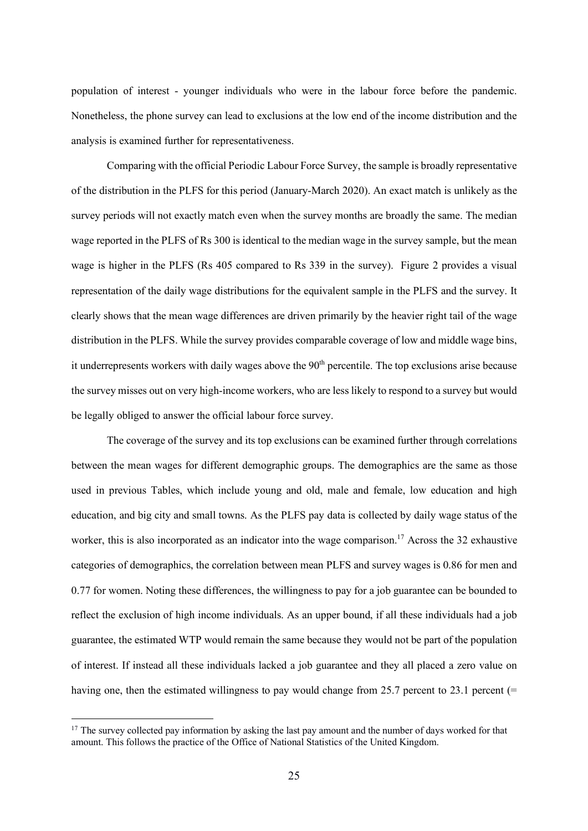population of interest - younger individuals who were in the labour force before the pandemic. Nonetheless, the phone survey can lead to exclusions at the low end of the income distribution and the analysis is examined further for representativeness.

Comparing with the official Periodic Labour Force Survey, the sample is broadly representative of the distribution in the PLFS for this period (January-March 2020). An exact match is unlikely as the survey periods will not exactly match even when the survey months are broadly the same. The median wage reported in the PLFS of Rs 300 is identical to the median wage in the survey sample, but the mean wage is higher in the PLFS (Rs 405 compared to Rs 339 in the survey). Figure 2 provides a visual representation of the daily wage distributions for the equivalent sample in the PLFS and the survey. It clearly shows that the mean wage differences are driven primarily by the heavier right tail of the wage distribution in the PLFS. While the survey provides comparable coverage of low and middle wage bins, it underrepresents workers with daily wages above the  $90<sup>th</sup>$  percentile. The top exclusions arise because the survey misses out on very high-income workers, who are less likely to respond to a survey but would be legally obliged to answer the official labour force survey.

The coverage of the survey and its top exclusions can be examined further through correlations between the mean wages for different demographic groups. The demographics are the same as those used in previous Tables, which include young and old, male and female, low education and high education, and big city and small towns. As the PLFS pay data is collected by daily wage status of the worker, this is also incorporated as an indicator into the wage comparison.<sup>17</sup> Across the 32 exhaustive categories of demographics, the correlation between mean PLFS and survey wages is 0.86 for men and 0.77 for women. Noting these differences, the willingness to pay for a job guarantee can be bounded to reflect the exclusion of high income individuals. As an upper bound, if all these individuals had a job guarantee, the estimated WTP would remain the same because they would not be part of the population of interest. If instead all these individuals lacked a job guarantee and they all placed a zero value on having one, then the estimated willingness to pay would change from 25.7 percent to 23.1 percent (=

 $17$  The survey collected pay information by asking the last pay amount and the number of days worked for that amount. This follows the practice of the Office of National Statistics of the United Kingdom.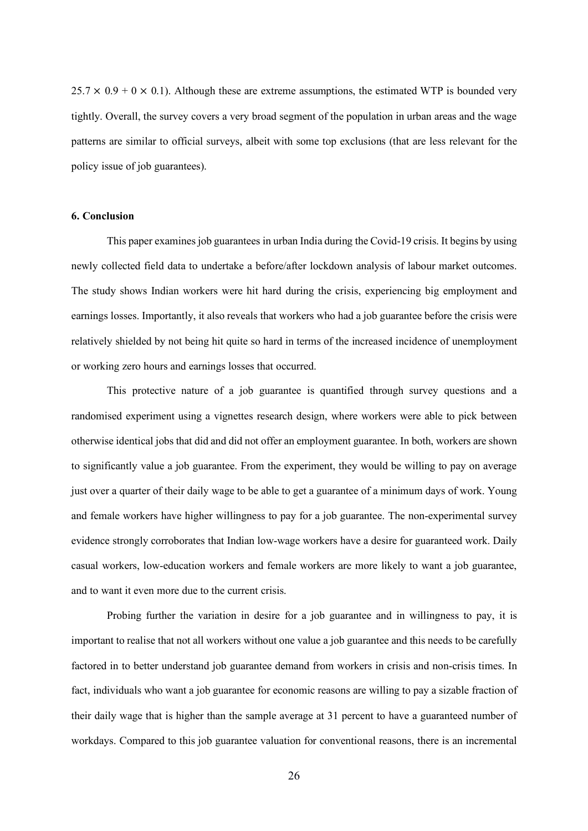$25.7 \times 0.9 + 0 \times 0.1$ ). Although these are extreme assumptions, the estimated WTP is bounded very tightly. Overall, the survey covers a very broad segment of the population in urban areas and the wage patterns are similar to official surveys, albeit with some top exclusions (that are less relevant for the policy issue of job guarantees).

## **6. Conclusion**

This paper examines job guarantees in urban India during the Covid-19 crisis. It begins by using newly collected field data to undertake a before/after lockdown analysis of labour market outcomes. The study shows Indian workers were hit hard during the crisis, experiencing big employment and earnings losses. Importantly, it also reveals that workers who had a job guarantee before the crisis were relatively shielded by not being hit quite so hard in terms of the increased incidence of unemployment or working zero hours and earnings losses that occurred.

This protective nature of a job guarantee is quantified through survey questions and a randomised experiment using a vignettes research design, where workers were able to pick between otherwise identical jobs that did and did not offer an employment guarantee. In both, workers are shown to significantly value a job guarantee. From the experiment, they would be willing to pay on average just over a quarter of their daily wage to be able to get a guarantee of a minimum days of work. Young and female workers have higher willingness to pay for a job guarantee. The non-experimental survey evidence strongly corroborates that Indian low-wage workers have a desire for guaranteed work. Daily casual workers, low-education workers and female workers are more likely to want a job guarantee, and to want it even more due to the current crisis.

Probing further the variation in desire for a job guarantee and in willingness to pay, it is important to realise that not all workers without one value a job guarantee and this needs to be carefully factored in to better understand job guarantee demand from workers in crisis and non-crisis times. In fact, individuals who want a job guarantee for economic reasons are willing to pay a sizable fraction of their daily wage that is higher than the sample average at 31 percent to have a guaranteed number of workdays. Compared to this job guarantee valuation for conventional reasons, there is an incremental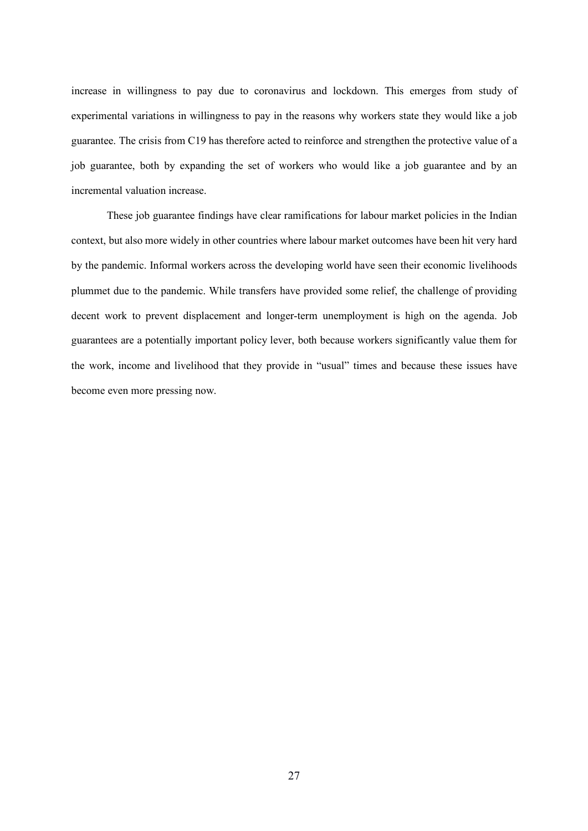increase in willingness to pay due to coronavirus and lockdown. This emerges from study of experimental variations in willingness to pay in the reasons why workers state they would like a job guarantee. The crisis from C19 has therefore acted to reinforce and strengthen the protective value of a job guarantee, both by expanding the set of workers who would like a job guarantee and by an incremental valuation increase.

These job guarantee findings have clear ramifications for labour market policies in the Indian context, but also more widely in other countries where labour market outcomes have been hit very hard by the pandemic. Informal workers across the developing world have seen their economic livelihoods plummet due to the pandemic. While transfers have provided some relief, the challenge of providing decent work to prevent displacement and longer-term unemployment is high on the agenda. Job guarantees are a potentially important policy lever, both because workers significantly value them for the work, income and livelihood that they provide in "usual" times and because these issues have become even more pressing now.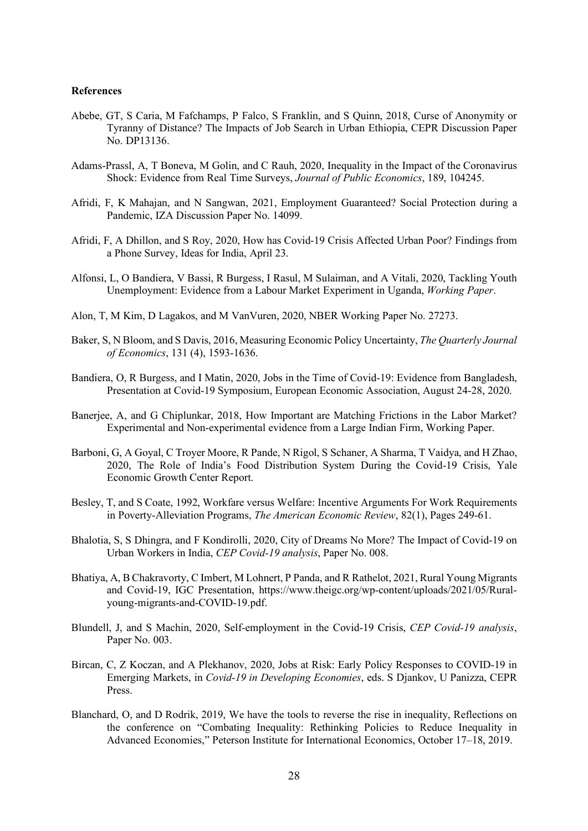## **References**

- Abebe, GT, S Caria, M Fafchamps, P Falco, S Franklin, and S Quinn, 2018, Curse of Anonymity or Tyranny of Distance? The Impacts of Job Search in Urban Ethiopia, CEPR Discussion Paper No. DP13136.
- Adams-Prassl, A, T Boneva, M Golin, and C Rauh, 2020, Inequality in the Impact of the Coronavirus Shock: Evidence from Real Time Surveys, *Journal of Public Economics*, 189, 104245.
- Afridi, F, K Mahajan, and N Sangwan, 2021, Employment Guaranteed? Social Protection during a Pandemic, IZA Discussion Paper No. 14099.
- Afridi, F, A Dhillon, and S Roy, 2020, How has Covid-19 Crisis Affected Urban Poor? Findings from a Phone Survey, Ideas for India, April 23.
- Alfonsi, L, O Bandiera, V Bassi, R Burgess, I Rasul, M Sulaiman, and A Vitali, 2020, Tackling Youth Unemployment: Evidence from a Labour Market Experiment in Uganda, *Working Paper*.
- Alon, T, M Kim, D Lagakos, and M VanVuren, 2020, NBER Working Paper No. 27273.
- Baker, S, N Bloom, and S Davis, 2016, Measuring Economic Policy Uncertainty, *The Quarterly Journal of Economics*, 131 (4), 1593-1636.
- Bandiera, O, R Burgess, and I Matin, 2020, Jobs in the Time of Covid-19: Evidence from Bangladesh, Presentation at Covid-19 Symposium, European Economic Association, August 24-28, 2020.
- Banerjee, A, and G Chiplunkar, 2018, How Important are Matching Frictions in the Labor Market? Experimental and Non-experimental evidence from a Large Indian Firm, Working Paper.
- Barboni, G, A Goyal, C Troyer Moore, R Pande, N Rigol, S Schaner, A Sharma, T Vaidya, and H Zhao, 2020, The Role of India's Food Distribution System During the Covid-19 Crisis, Yale Economic Growth Center Report.
- Besley, T, and S Coate, 1992, Workfare versus Welfare: Incentive Arguments For Work Requirements in Poverty-Alleviation Programs, *The American Economic Review*, 82(1), Pages 249-61.
- Bhalotia, S, S Dhingra, and F Kondirolli, 2020, City of Dreams No More? The Impact of Covid-19 on Urban Workers in India, *CEP Covid-19 analysis*, Paper No. 008.
- Bhatiya, A, B Chakravorty, C Imbert, M Lohnert, P Panda, and R Rathelot, 2021, Rural Young Migrants and Covid-19, IGC Presentation, https://www.theigc.org/wp-content/uploads/2021/05/Ruralyoung-migrants-and-COVID-19.pdf.
- Blundell, J, and S Machin, 2020, Self-employment in the Covid-19 Crisis, *CEP Covid-19 analysis*, Paper No. 003.
- Bircan, C, Z Koczan, and A Plekhanov, 2020, Jobs at Risk: Early Policy Responses to COVID-19 in Emerging Markets, in *Covid-19 in Developing Economies*, eds. S Djankov, U Panizza, CEPR Press.
- Blanchard, O, and D Rodrik, 2019, We have the tools to reverse the rise in inequality, Reflections on the conference on "Combating Inequality: Rethinking Policies to Reduce Inequality in Advanced Economies," Peterson Institute for International Economics, October 17–18, 2019.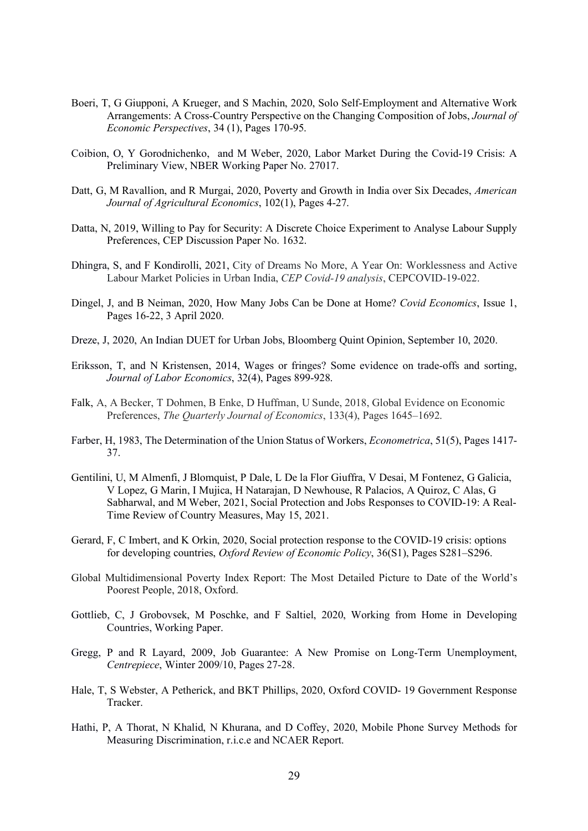- Boeri, T, G Giupponi, A Krueger, and S Machin, 2020, Solo Self-Employment and Alternative Work Arrangements: A Cross-Country Perspective on the Changing Composition of Jobs, *Journal of Economic Perspectives*, 34 (1), Pages 170-95.
- Coibion, O, Y Gorodnichenko, and M Weber, 2020, Labor Market During the Covid-19 Crisis: A Preliminary View, NBER Working Paper No. 27017.
- Datt, G, M Ravallion, and R Murgai, 2020, Poverty and Growth in India over Six Decades, *American Journal of Agricultural Economics*, 102(1), Pages 4-27.
- Datta, N, 2019, Willing to Pay for Security: A Discrete Choice Experiment to Analyse Labour Supply Preferences, CEP Discussion Paper No. 1632.
- Dhingra, S, and F Kondirolli, 2021, City of Dreams No More, A Year On: Worklessness and Active Labour Market Policies in Urban India, *CEP Covid-19 analysis*, CEPCOVID-19-022.
- Dingel, J, and B Neiman, 2020, How Many Jobs Can be Done at Home? *Covid Economics*, Issue 1, Pages 16-22, 3 April 2020.
- Dreze, J, 2020, An Indian DUET for Urban Jobs, Bloomberg Quint Opinion, September 10, 2020.
- Eriksson, T, and N Kristensen, 2014, Wages or fringes? Some evidence on trade-offs and sorting, *Journal of Labor Economics*, 32(4), Pages 899-928.
- Falk, A, A Becker, T Dohmen, B Enke, D Huffman, U Sunde, 2018, Global Evidence on Economic Preferences, *The Quarterly Journal of Economics*, 133(4), Pages 1645–1692.
- Farber, H, 1983, The Determination of the Union Status of Workers, *Econometrica*, 51(5), Pages 1417- 37.
- Gentilini, U, M Almenfi, J Blomquist, P Dale, L De la Flor Giuffra, V Desai, M Fontenez, G Galicia, V Lopez, G Marin, I Mujica, H Natarajan, D Newhouse, R Palacios, A Quiroz, C Alas, G Sabharwal, and M Weber, 2021, Social Protection and Jobs Responses to COVID-19: A Real-Time Review of Country Measures, May 15, 2021.
- Gerard, F, C Imbert, and K Orkin, 2020, Social protection response to the COVID-19 crisis: options for developing countries, *Oxford Review of Economic Policy*, 36(S1), Pages S281–S296.
- Global Multidimensional Poverty Index Report: The Most Detailed Picture to Date of the World's Poorest People, 2018, Oxford.
- Gottlieb, C, J Grobovsek, M Poschke, and F Saltiel, 2020, Working from Home in Developing Countries, Working Paper.
- Gregg, P and R Layard, 2009, Job Guarantee: A New Promise on Long-Term Unemployment, *Centrepiece*, Winter 2009/10, Pages 27-28.
- Hale, T, S Webster, A Petherick, and BKT Phillips, 2020, Oxford COVID- 19 Government Response Tracker.
- Hathi, P, A Thorat, N Khalid, N Khurana, and D Coffey, 2020, Mobile Phone Survey Methods for Measuring Discrimination, r.i.c.e and NCAER Report.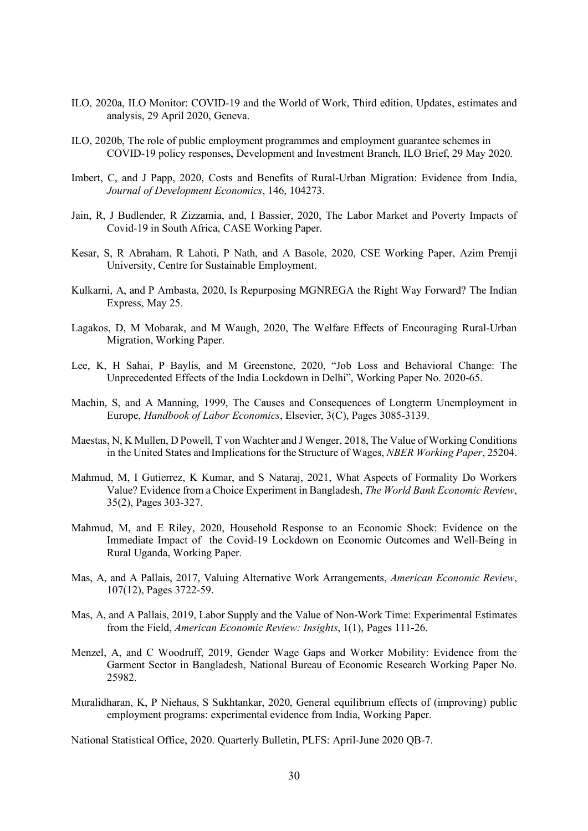- ILO, 2020a, ILO Monitor: COVID-19 and the World of Work, Third edition, Updates, estimates and analysis, 29 April 2020, Geneva.
- ILO, 2020b, The role of public employment programmes and employment guarantee schemes in COVID-19 policy responses, Development and Investment Branch, ILO Brief, 29 May 2020.
- Imbert, C, and J Papp, 2020, Costs and Benefits of Rural-Urban Migration: Evidence from India, *Journal of Development Economics*, 146, 104273.
- Jain, R, J Budlender, R Zizzamia, and, I Bassier, 2020, The Labor Market and Poverty Impacts of Covid-19 in South Africa, CASE Working Paper.
- Kesar, S, R Abraham, R Lahoti, P Nath, and A Basole, 2020, CSE Working Paper, Azim Premji University, Centre for Sustainable Employment.
- Kulkarni, A, and P Ambasta, 2020, Is Repurposing MGNREGA the Right Way Forward? The Indian Express, May 25.
- Lagakos, D, M Mobarak, and M Waugh, 2020, The Welfare Effects of Encouraging Rural-Urban Migration, Working Paper.
- Lee, K, H Sahai, P Baylis, and M Greenstone, 2020, "Job Loss and Behavioral Change: The Unprecedented Effects of the India Lockdown in Delhi", Working Paper No. 2020-65.
- Machin, S, and A Manning, 1999, The Causes and Consequences of Longterm Unemployment in Europe, *Handbook of Labor Economics*, Elsevier, 3(C), Pages 3085-3139.
- Maestas, N, K Mullen, D Powell, T von Wachter and J Wenger, 2018, The Value of Working Conditions in the United States and Implications for the Structure of Wages, *NBER Working Paper*, 25204.
- Mahmud, M, I Gutierrez, K Kumar, and S Nataraj, 2021, What Aspects of Formality Do Workers Value? Evidence from a Choice Experiment in Bangladesh, *The World Bank Economic Review*, 35(2), Pages 303-327.
- Mahmud, M, and E Riley, 2020, Household Response to an Economic Shock: Evidence on the Immediate Impact of the Covid-19 Lockdown on Economic Outcomes and Well-Being in Rural Uganda, Working Paper.
- Mas, A, and A Pallais, 2017, Valuing Alternative Work Arrangements, *American Economic Review*, 107(12), Pages 3722-59.
- Mas, A, and A Pallais, 2019, Labor Supply and the Value of Non-Work Time: Experimental Estimates from the Field, *American Economic Review: Insights*, 1(1), Pages 111-26.
- Menzel, A, and C Woodruff, 2019, Gender Wage Gaps and Worker Mobility: Evidence from the Garment Sector in Bangladesh, National Bureau of Economic Research Working Paper No. 25982
- Muralidharan, K, P Niehaus, S Sukhtankar, 2020, General equilibrium effects of (improving) public employment programs: experimental evidence from India, Working Paper.

National Statistical Office, 2020. Quarterly Bulletin, PLFS: April-June 2020 QB-7.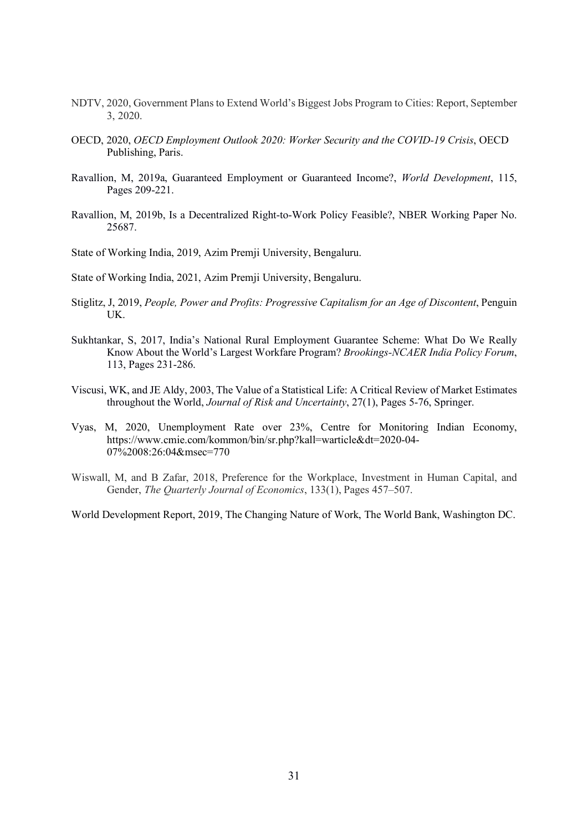- NDTV, 2020, Government Plans to Extend World's Biggest Jobs Program to Cities: Report, September 3, 2020.
- OECD, 2020, *OECD Employment Outlook 2020: Worker Security and the COVID-19 Crisis*, OECD Publishing, Paris.
- Ravallion, M, 2019a, Guaranteed Employment or Guaranteed Income?, *World Development*, 115, Pages 209-221.
- Ravallion, M, 2019b, Is a Decentralized Right-to-Work Policy Feasible?, NBER Working Paper No. 25687.

State of Working India, 2019, Azim Premji University, Bengaluru.

State of Working India, 2021, Azim Premji University, Bengaluru.

- Stiglitz, J, 2019, *People, Power and Profits: Progressive Capitalism for an Age of Discontent*, Penguin UK.
- Sukhtankar, S, 2017, India's National Rural Employment Guarantee Scheme: What Do We Really Know About the World's Largest Workfare Program? *Brookings-NCAER India Policy Forum*, 113, Pages 231-286.
- Viscusi, WK, and JE Aldy, 2003, The Value of a Statistical Life: A Critical Review of Market Estimates throughout the World, *Journal of Risk and Uncertainty*, 27(1), Pages 5-76, Springer.
- Vyas, M, 2020, Unemployment Rate over 23%, Centre for Monitoring Indian Economy, https://www.cmie.com/kommon/bin/sr.php?kall=warticle&dt=2020-04- 07%2008:26:04&msec=770
- Wiswall, M, and B Zafar, 2018, Preference for the Workplace, Investment in Human Capital, and Gender, *The Quarterly Journal of Economics*, 133(1), Pages 457–507.

World Development Report, 2019, The Changing Nature of Work, The World Bank, Washington DC.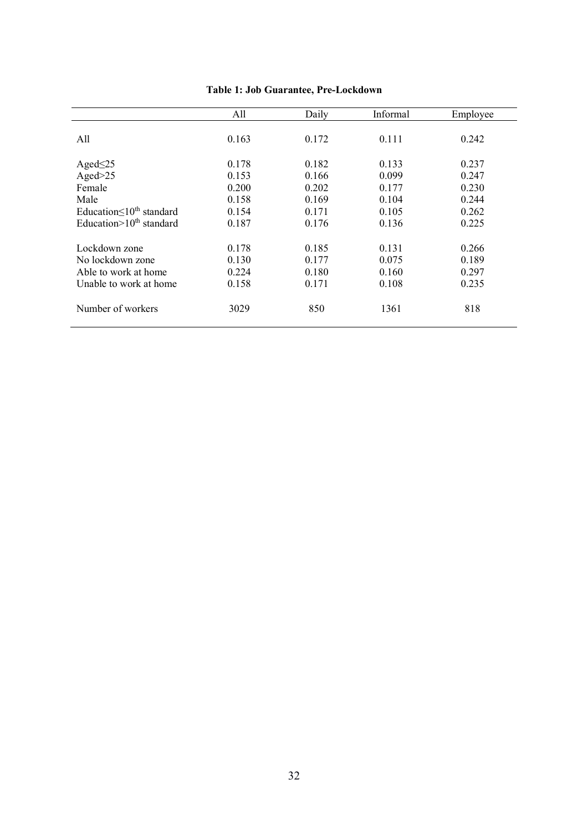|                                   | All   | Daily | Informal | Employee |
|-----------------------------------|-------|-------|----------|----------|
|                                   |       |       |          |          |
| All                               | 0.163 | 0.172 | 0.111    | 0.242    |
|                                   |       |       |          |          |
| Aged $\leq$ 25                    | 0.178 | 0.182 | 0.133    | 0.237    |
| Aged $>25$                        | 0.153 | 0.166 | 0.099    | 0.247    |
| Female                            | 0.200 | 0.202 | 0.177    | 0.230    |
| Male                              | 0.158 | 0.169 | 0.104    | 0.244    |
| Education $\leq 10^{th}$ standard | 0.154 | 0.171 | 0.105    | 0.262    |
| Education $>10^{th}$ standard     | 0.187 | 0.176 | 0.136    | 0.225    |
|                                   |       |       |          |          |
| Lockdown zone                     | 0.178 | 0.185 | 0.131    | 0.266    |
| No lockdown zone                  | 0.130 | 0.177 | 0.075    | 0.189    |
| Able to work at home              | 0.224 | 0.180 | 0.160    | 0.297    |
| Unable to work at home            | 0.158 | 0.171 | 0.108    | 0.235    |
|                                   |       |       |          |          |
| Number of workers                 | 3029  | 850   | 1361     | 818      |
|                                   |       |       |          |          |
|                                   |       |       |          |          |

**Table 1: Job Guarantee, Pre-Lockdown**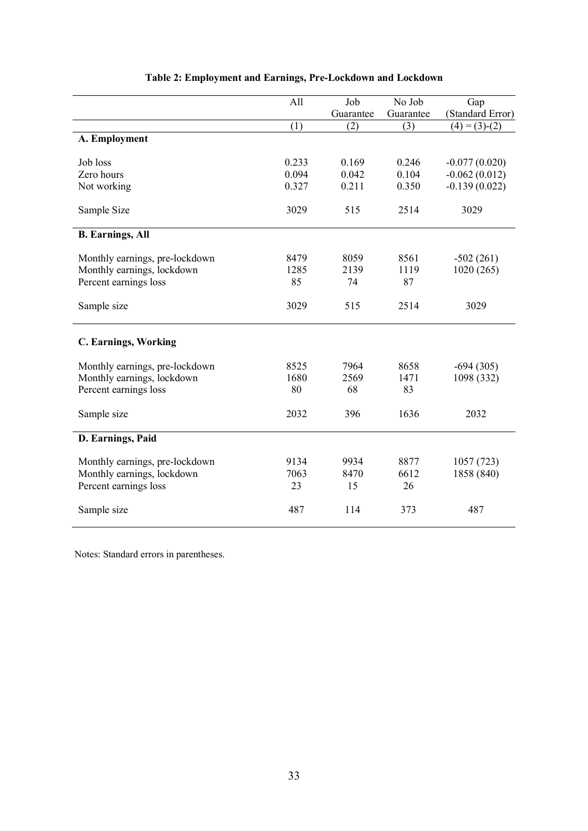|                                | All   | Job       | No Job    | Gap              |
|--------------------------------|-------|-----------|-----------|------------------|
|                                |       | Guarantee | Guarantee | (Standard Error) |
|                                | (1)   | (2)       | (3)       | $(4) = (3)-(2)$  |
| A. Employment                  |       |           |           |                  |
|                                |       |           |           |                  |
| Job loss                       | 0.233 | 0.169     | 0.246     | $-0.077(0.020)$  |
| Zero hours                     | 0.094 | 0.042     | 0.104     | $-0.062(0.012)$  |
| Not working                    | 0.327 | 0.211     | 0.350     | $-0.139(0.022)$  |
| Sample Size                    | 3029  | 515       | 2514      | 3029             |
| <b>B.</b> Earnings, All        |       |           |           |                  |
| Monthly earnings, pre-lockdown | 8479  | 8059      | 8561      | $-502(261)$      |
| Monthly earnings, lockdown     | 1285  | 2139      | 1119      | 1020(265)        |
| Percent earnings loss          | 85    | 74        | 87        |                  |
|                                |       |           |           |                  |
| Sample size                    | 3029  | 515       | 2514      | 3029             |
| <b>C. Earnings, Working</b>    |       |           |           |                  |
| Monthly earnings, pre-lockdown | 8525  | 7964      | 8658      | $-694(305)$      |
| Monthly earnings, lockdown     | 1680  | 2569      | 1471      | 1098 (332)       |
| Percent earnings loss          | 80    | 68        | 83        |                  |
|                                |       |           |           |                  |
| Sample size                    | 2032  | 396       | 1636      | 2032             |
| D. Earnings, Paid              |       |           |           |                  |
| Monthly earnings, pre-lockdown | 9134  | 9934      | 8877      | 1057(723)        |
| Monthly earnings, lockdown     | 7063  | 8470      | 6612      | 1858 (840)       |
| Percent earnings loss          | 23    | 15        | 26        |                  |
|                                |       |           |           |                  |
| Sample size                    | 487   | 114       | 373       | 487              |

# **Table 2: Employment and Earnings, Pre-Lockdown and Lockdown**

Notes: Standard errors in parentheses.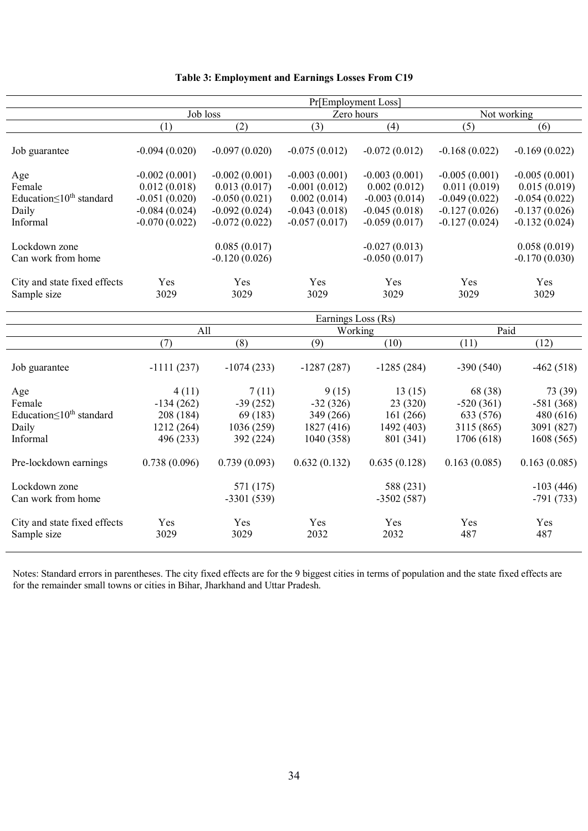|                                                                         | Pr[Employment Loss]                                                                      |                                                                                          |                                                                                          |                                                                                          |                                                                                          |                                                                                          |
|-------------------------------------------------------------------------|------------------------------------------------------------------------------------------|------------------------------------------------------------------------------------------|------------------------------------------------------------------------------------------|------------------------------------------------------------------------------------------|------------------------------------------------------------------------------------------|------------------------------------------------------------------------------------------|
|                                                                         | Job loss                                                                                 |                                                                                          | Zero hours                                                                               |                                                                                          | Not working                                                                              |                                                                                          |
|                                                                         | (1)                                                                                      | (2)                                                                                      | (3)                                                                                      | (4)                                                                                      | (5)                                                                                      | (6)                                                                                      |
| Job guarantee                                                           | $-0.094(0.020)$                                                                          | $-0.097(0.020)$                                                                          | $-0.075(0.012)$                                                                          | $-0.072(0.012)$                                                                          | $-0.168(0.022)$                                                                          | $-0.169(0.022)$                                                                          |
| Age<br>Female<br>Education $\leq 10^{th}$ standard<br>Daily<br>Informal | $-0.002(0.001)$<br>0.012(0.018)<br>$-0.051(0.020)$<br>$-0.084(0.024)$<br>$-0.070(0.022)$ | $-0.002(0.001)$<br>0.013(0.017)<br>$-0.050(0.021)$<br>$-0.092(0.024)$<br>$-0.072(0.022)$ | $-0.003(0.001)$<br>$-0.001(0.012)$<br>0.002(0.014)<br>$-0.043(0.018)$<br>$-0.057(0.017)$ | $-0.003(0.001)$<br>0.002(0.012)<br>$-0.003(0.014)$<br>$-0.045(0.018)$<br>$-0.059(0.017)$ | $-0.005(0.001)$<br>0.011(0.019)<br>$-0.049(0.022)$<br>$-0.127(0.026)$<br>$-0.127(0.024)$ | $-0.005(0.001)$<br>0.015(0.019)<br>$-0.054(0.022)$<br>$-0.137(0.026)$<br>$-0.132(0.024)$ |
| Lockdown zone<br>Can work from home                                     |                                                                                          | 0.085(0.017)<br>$-0.120(0.026)$                                                          |                                                                                          | $-0.027(0.013)$<br>$-0.050(0.017)$                                                       |                                                                                          | 0.058(0.019)<br>$-0.170(0.030)$                                                          |
| City and state fixed effects<br>Sample size                             | Yes<br>3029                                                                              | Yes<br>3029                                                                              | Yes<br>3029                                                                              | Yes<br>3029                                                                              | Yes<br>3029                                                                              | Yes<br>3029                                                                              |
|                                                                         | Earnings Loss (Rs)                                                                       |                                                                                          |                                                                                          |                                                                                          |                                                                                          |                                                                                          |
|                                                                         | All                                                                                      |                                                                                          | Working                                                                                  |                                                                                          | Paid                                                                                     |                                                                                          |
|                                                                         | (7)                                                                                      | (8)                                                                                      | (9)                                                                                      | (10)                                                                                     | (11)                                                                                     | (12)                                                                                     |
| Job guarantee                                                           | $-1111(237)$                                                                             | $-1074(233)$                                                                             | $-1287(287)$                                                                             | $-1285(284)$                                                                             | $-390(540)$                                                                              | $-462(518)$                                                                              |
| Age<br>Female<br>Education $\leq 10^{th}$ standard<br>Daily<br>Informal | 4(11)<br>$-134(262)$<br>208 (184)<br>1212 (264)<br>496 (233)                             | 7(11)<br>$-39(252)$<br>69 (183)<br>1036 (259)<br>392 (224)                               | 9(15)<br>$-32(326)$<br>349 (266)<br>1827 (416)<br>1040 (358)                             | 13(15)<br>23 (320)<br>161 (266)<br>1492 (403)<br>801 (341)                               | 68 (38)<br>$-520(361)$<br>633 (576)<br>3115 (865)<br>1706 (618)                          | 73 (39)<br>$-581(368)$<br>480 (616)<br>3091 (827)<br>1608 (565)                          |
| Pre-lockdown earnings                                                   | 0.738(0.096)                                                                             | 0.739(0.093)                                                                             | 0.632(0.132)                                                                             | 0.635(0.128)                                                                             | 0.163(0.085)                                                                             | 0.163(0.085)                                                                             |
| Lockdown zone<br>Can work from home                                     |                                                                                          | 571 (175)<br>$-3301(539)$                                                                |                                                                                          | 588 (231)<br>$-3502(587)$                                                                |                                                                                          | $-103(446)$<br>$-791(733)$                                                               |
| City and state fixed effects<br>Sample size                             | Yes<br>3029                                                                              | Yes<br>3029                                                                              | Yes<br>2032                                                                              | Yes<br>2032                                                                              | Yes<br>487                                                                               | Yes<br>487                                                                               |

# **Table 3: Employment and Earnings Losses From C19**

 $\overline{a}$ j.

j.

J. l. l,

l.

Notes: Standard errors in parentheses. The city fixed effects are for the 9 biggest cities in terms of population and the state fixed effects are for the remainder small towns or cities in Bihar, Jharkhand and Uttar Pradesh.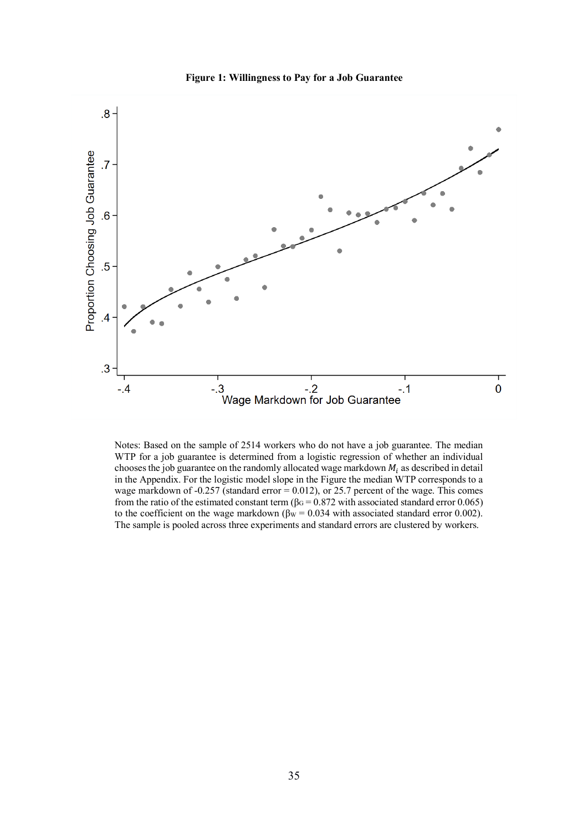



Notes: Based on the sample of 2514 workers who do not have a job guarantee. The median WTP for a job guarantee is determined from a logistic regression of whether an individual chooses the job guarantee on the randomly allocated wage markdown  $M_i$  as described in detail in the Appendix. For the logistic model slope in the Figure the median WTP corresponds to a wage markdown of  $-0.257$  (standard error = 0.012), or 25.7 percent of the wage. This comes from the ratio of the estimated constant term ( $\beta$ G = 0.872 with associated standard error 0.065) to the coefficient on the wage markdown ( $\beta_{\text{W}}$  = 0.034 with associated standard error 0.002). The sample is pooled across three experiments and standard errors are clustered by workers.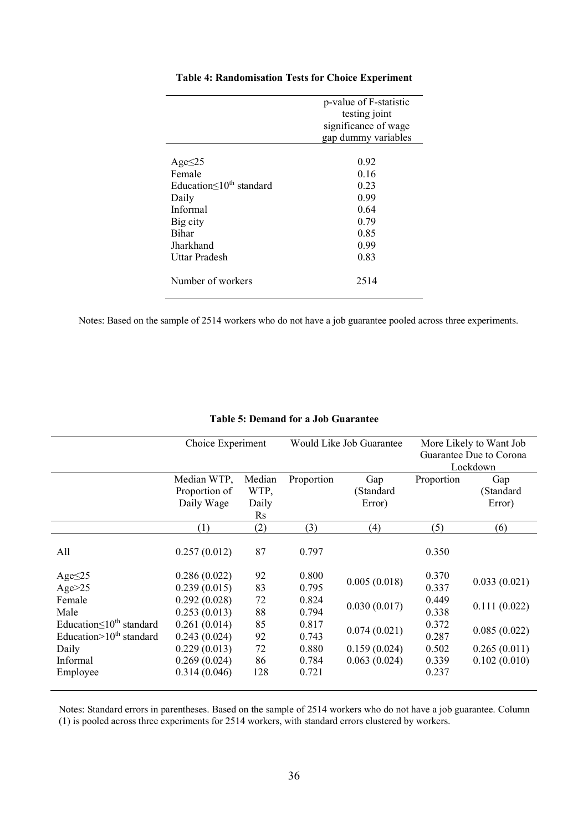|                                   | p-value of F-statistic |
|-----------------------------------|------------------------|
|                                   | testing joint          |
|                                   | significance of wage   |
|                                   | gap dummy variables    |
|                                   |                        |
| Age $\leq$ 25                     | 0.92                   |
| Female                            | 0.16                   |
| Education $\leq 10^{th}$ standard | 0.23                   |
| Daily                             | 0.99                   |
| Informal                          | 0.64                   |
| Big city                          | 0.79                   |
| <b>Bihar</b>                      | 0.85                   |
| Jharkhand                         | 0.99                   |
| Uttar Pradesh                     | 0.83                   |
|                                   |                        |
| Number of workers                 | 2514                   |
|                                   |                        |

## **Table 4: Randomisation Tests for Choice Experiment**

Notes: Based on the sample of 2514 workers who do not have a job guarantee pooled across three experiments.

|                                   | Choice Experiment |        |            | Would Like Job Guarantee |                         | More Likely to Want Job |
|-----------------------------------|-------------------|--------|------------|--------------------------|-------------------------|-------------------------|
|                                   |                   |        |            |                          | Guarantee Due to Corona |                         |
|                                   |                   |        |            |                          |                         | Lockdown                |
|                                   | Median WTP,       | Median | Proportion | Gap                      | Proportion              | Gap                     |
|                                   | Proportion of     | WTP,   |            | (Standard                |                         | (Standard               |
|                                   | Daily Wage        | Daily  |            | Error)                   |                         | Error)                  |
|                                   |                   | Rs     |            |                          |                         |                         |
|                                   | (1)               | (2)    | (3)        | (4)                      | (5)                     | (6)                     |
|                                   |                   |        |            |                          |                         |                         |
| All                               | 0.257(0.012)      | 87     | 0.797      |                          | 0.350                   |                         |
| Age $\leq$ 25                     | 0.286(0.022)      | 92     | 0.800      |                          | 0.370                   |                         |
| Age $>25$                         | 0.239(0.015)      | 83     | 0.795      | 0.005(0.018)             | 0.337                   | 0.033(0.021)            |
| Female                            | 0.292(0.028)      | 72     | 0.824      |                          | 0.449                   |                         |
| Male                              | 0.253(0.013)      | 88     | 0.794      | 0.030(0.017)             | 0.338                   | 0.111(0.022)            |
| Education $\leq 10^{th}$ standard | 0.261(0.014)      | 85     | 0.817      |                          | 0.372                   |                         |
| Education $>10^{th}$ standard     | 0.243(0.024)      | 92     | 0.743      | 0.074(0.021)             | 0.287                   | 0.085(0.022)            |
| Daily                             | 0.229(0.013)      | 72     | 0.880      | 0.159(0.024)             | 0.502                   | 0.265(0.011)            |
| Informal                          | 0.269(0.024)      | 86     | 0.784      | 0.063(0.024)             | 0.339                   | 0.102(0.010)            |
| Employee                          | 0.314(0.046)      | 128    | 0.721      |                          | 0.237                   |                         |
|                                   |                   |        |            |                          |                         |                         |

# **Table 5: Demand for a Job Guarantee**

Notes: Standard errors in parentheses. Based on the sample of 2514 workers who do not have a job guarantee. Column (1) is pooled across three experiments for 2514 workers, with standard errors clustered by workers.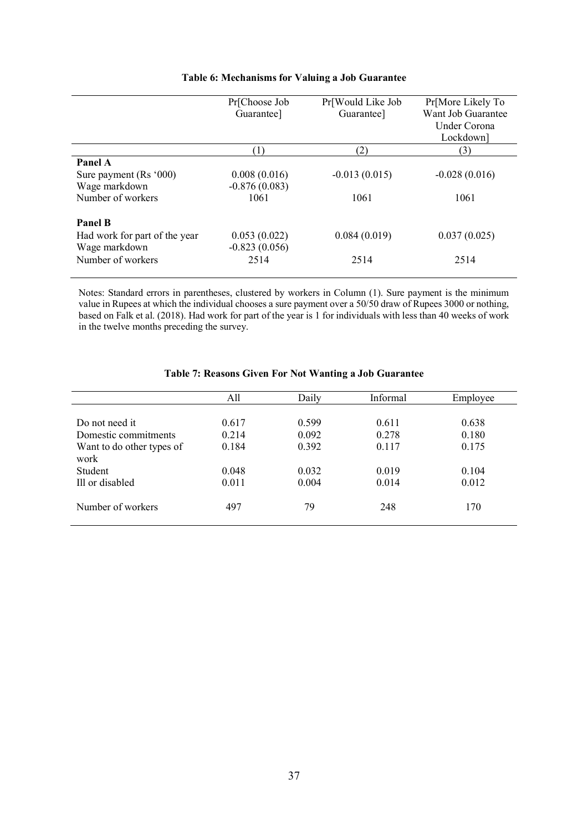|                               | Pr[Choose Job   | Pr[Would Like Job | Pr[More Likely To  |
|-------------------------------|-----------------|-------------------|--------------------|
|                               | Guarantee]      | Guarantee]        | Want Job Guarantee |
|                               |                 |                   | Under Corona       |
|                               |                 |                   | Lockdown]          |
|                               |                 | (2)               | (3)                |
| Panel A                       |                 |                   |                    |
| Sure payment (Rs '000)        | 0.008(0.016)    | $-0.013(0.015)$   | $-0.028(0.016)$    |
| Wage markdown                 | $-0.876(0.083)$ |                   |                    |
| Number of workers             | 1061            | 1061              | 1061               |
| <b>Panel B</b>                |                 |                   |                    |
| Had work for part of the year | 0.053(0.022)    | 0.084(0.019)      | 0.037(0.025)       |
| Wage markdown                 | $-0.823(0.056)$ |                   |                    |
| Number of workers             | 2514            | 2514              | 2514               |
|                               |                 |                   |                    |

# **Table 6: Mechanisms for Valuing a Job Guarantee**

Notes: Standard errors in parentheses, clustered by workers in Column (1). Sure payment is the minimum value in Rupees at which the individual chooses a sure payment over a 50/50 draw of Rupees 3000 or nothing, based on Falk et al. (2018). Had work for part of the year is 1 for individuals with less than 40 weeks of work in the twelve months preceding the survey.

|                           | All   | Daily | Informal | Employee |
|---------------------------|-------|-------|----------|----------|
|                           |       |       |          |          |
| Do not need it            | 0.617 | 0.599 | 0.611    | 0.638    |
| Domestic commitments      | 0.214 | 0.092 | 0.278    | 0.180    |
| Want to do other types of | 0.184 | 0.392 | 0.117    | 0.175    |
| work                      |       |       |          |          |
| Student                   | 0.048 | 0.032 | 0.019    | 0.104    |
| Ill or disabled           | 0.011 | 0.004 | 0.014    | 0.012    |
|                           |       |       |          |          |
| Number of workers         | 497   | 79    | 248      | 170      |
|                           |       |       |          |          |

## **Table 7: Reasons Given For Not Wanting a Job Guarantee**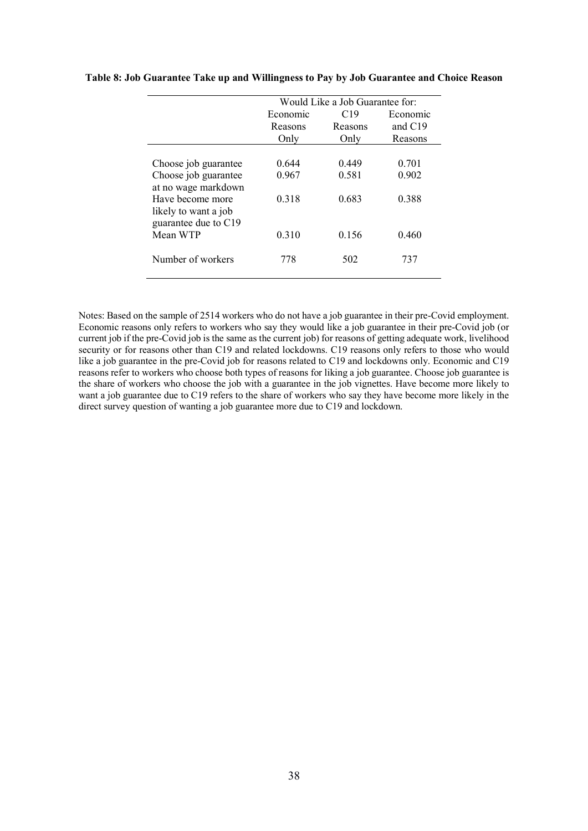|                      | Would Like a Job Guarantee for: |         |           |  |  |  |
|----------------------|---------------------------------|---------|-----------|--|--|--|
|                      | Economic                        | C19     | Economic  |  |  |  |
|                      | Reasons                         | Reasons | and $C19$ |  |  |  |
|                      | Only                            | Only    | Reasons   |  |  |  |
|                      |                                 |         |           |  |  |  |
| Choose job guarantee | 0.644                           | 0.449   | 0.701     |  |  |  |
| Choose job guarantee | 0.967                           | 0.581   | 0.902     |  |  |  |
| at no wage markdown  |                                 |         |           |  |  |  |
| Have become more     | 0.318                           | 0.683   | 0.388     |  |  |  |
| likely to want a job |                                 |         |           |  |  |  |
| guarantee due to C19 |                                 |         |           |  |  |  |
| Mean WTP             | 0.310                           | 0.156   | 0.460     |  |  |  |
|                      |                                 |         |           |  |  |  |
| Number of workers    | 778                             | 502     | 737       |  |  |  |
|                      |                                 |         |           |  |  |  |

## **Table 8: Job Guarantee Take up and Willingness to Pay by Job Guarantee and Choice Reason**

Notes: Based on the sample of 2514 workers who do not have a job guarantee in their pre-Covid employment. Economic reasons only refers to workers who say they would like a job guarantee in their pre-Covid job (or current job if the pre-Covid job is the same as the current job) for reasons of getting adequate work, livelihood security or for reasons other than C19 and related lockdowns. C19 reasons only refers to those who would like a job guarantee in the pre-Covid job for reasons related to C19 and lockdowns only. Economic and C19 reasons refer to workers who choose both types of reasons for liking a job guarantee. Choose job guarantee is the share of workers who choose the job with a guarantee in the job vignettes. Have become more likely to want a job guarantee due to C19 refers to the share of workers who say they have become more likely in the direct survey question of wanting a job guarantee more due to C19 and lockdown.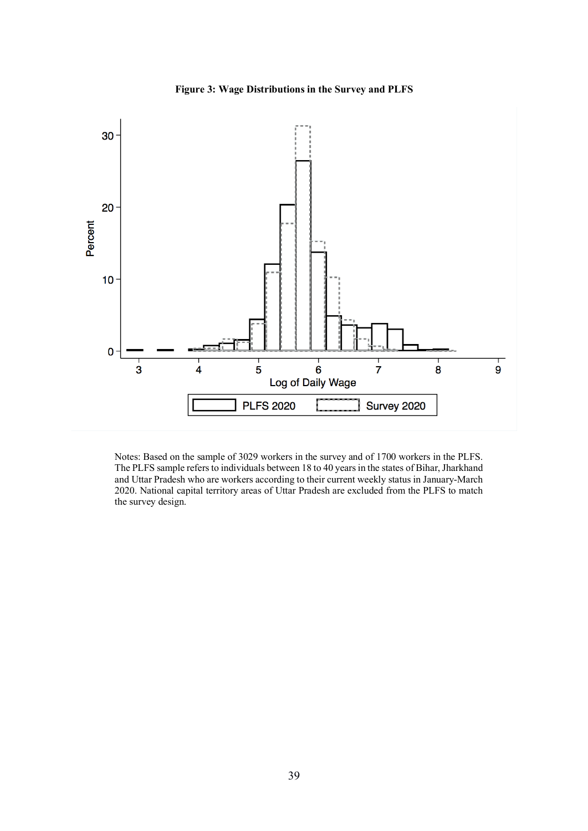



Notes: Based on the sample of 3029 workers in the survey and of 1700 workers in the PLFS. The PLFS sample refers to individuals between 18 to 40 years in the states of Bihar, Jharkhand and Uttar Pradesh who are workers according to their current weekly status in January-March 2020. National capital territory areas of Uttar Pradesh are excluded from the PLFS to match the survey design.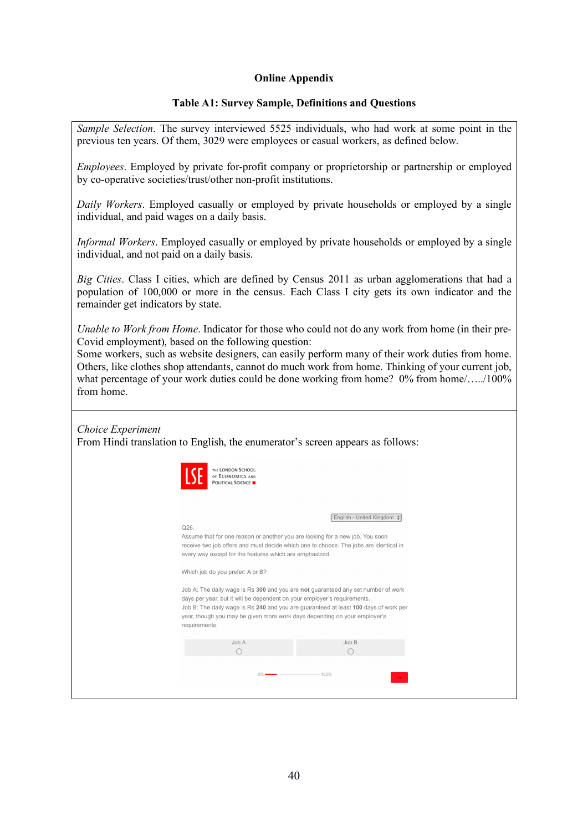# **Online Appendix**

# **Table A1: Survey Sample, Definitions and Questions**

*Sample Selection*. The survey interviewed 5525 individuals, who had work at some point in the previous ten years. Of them, 3029 were employees or casual workers, as defined below.

*Employees*. Employed by private for-profit company or proprietorship or partnership or employed by co-operative societies/trust/other non-profit institutions.

*Daily Workers*. Employed casually or employed by private households or employed by a single individual, and paid wages on a daily basis.

*Informal Workers*. Employed casually or employed by private households or employed by a single individual, and not paid on a daily basis.

*Big Cities*. Class I cities, which are defined by Census 2011 as urban agglomerations that had a population of 100,000 or more in the census. Each Class I city gets its own indicator and the remainder get indicators by state.

*Unable to Work from Home*. Indicator for those who could not do any work from home (in their pre-Covid employment), based on the following question:

Some workers, such as website designers, can easily perform many of their work duties from home. Others, like clothes shop attendants, cannot do much work from home. Thinking of your current job, what percentage of your work duties could be done working from home? 0% from home....../100% from home.

*Choice Experiment* From Hindi translation to English, the enumerator's screen appears as follows:

| THE LONDON SCHOOL<br>OF ECONOMICS AND<br><b>POLITICAL SCIENCE</b>                                                                                                                                                                                                                                                                                                                                                                                                                                                                      |                            |
|----------------------------------------------------------------------------------------------------------------------------------------------------------------------------------------------------------------------------------------------------------------------------------------------------------------------------------------------------------------------------------------------------------------------------------------------------------------------------------------------------------------------------------------|----------------------------|
| Q26.<br>Assume that for one reason or another you are looking for a new job. You soon<br>receive two job offers and must decide which one to choose. The jobs are identical in<br>every way except for the features which are emphasized.<br>Which job do you prefer: A or B?<br>Job A: The daily wage is Rs 300 and you are not guaranteed any set number of work<br>days per year, but it will be dependent on your employer's requirements.<br>Job B: The daily wage is Rs 240 and you are guaranteed at least 100 days of work per | English - United Kingdom + |
| year, though you may be given more work days depending on your employer's<br>requirements.<br>Job A                                                                                                                                                                                                                                                                                                                                                                                                                                    | Job B                      |
| ∩<br>0%                                                                                                                                                                                                                                                                                                                                                                                                                                                                                                                                | ∩<br>100%                  |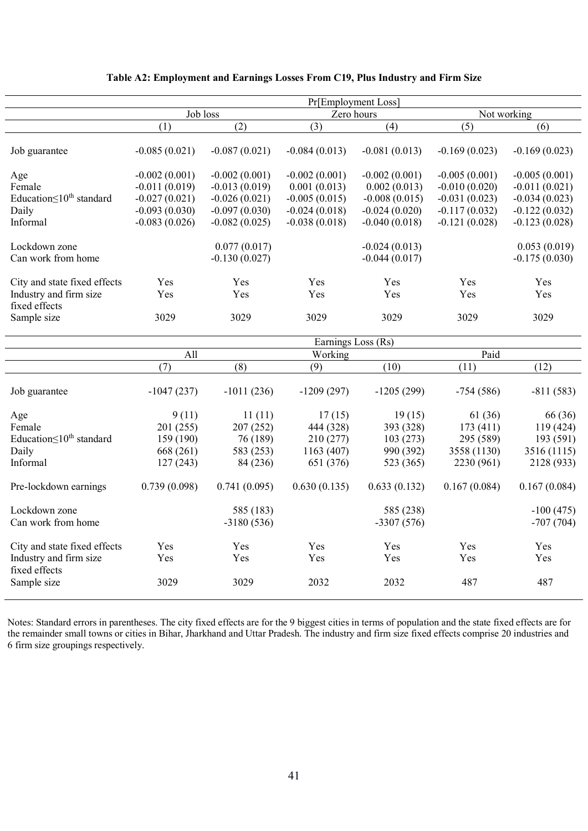| Job loss        |                                                          |                                                          |                              |                                                                                                                  |                                           |
|-----------------|----------------------------------------------------------|----------------------------------------------------------|------------------------------|------------------------------------------------------------------------------------------------------------------|-------------------------------------------|
| (1)             | (2)                                                      | (3)                                                      | (4)                          | (5)                                                                                                              | (6)                                       |
| $-0.085(0.021)$ | $-0.087(0.021)$                                          | $-0.084(0.013)$                                          | $-0.081(0.013)$              | $-0.169(0.023)$                                                                                                  | $-0.169(0.023)$                           |
| $-0.002(0.001)$ | $-0.002(0.001)$                                          | $-0.002(0.001)$                                          | $-0.002(0.001)$              | $-0.005(0.001)$                                                                                                  | $-0.005(0.001)$                           |
|                 | $-0.013(0.019)$                                          | 0.001(0.013)                                             | 0.002(0.013)                 | $-0.010(0.020)$                                                                                                  | $-0.011(0.021)$                           |
| $-0.027(0.021)$ | $-0.026(0.021)$                                          | $-0.005(0.015)$                                          | $-0.008(0.015)$              | $-0.031(0.023)$                                                                                                  | $-0.034(0.023)$                           |
| $-0.093(0.030)$ | $-0.097(0.030)$                                          | $-0.024(0.018)$                                          | $-0.024(0.020)$              | $-0.117(0.032)$                                                                                                  | $-0.122(0.032)$                           |
| $-0.083(0.026)$ | $-0.082(0.025)$                                          | $-0.038(0.018)$                                          | $-0.040(0.018)$              | $-0.121(0.028)$                                                                                                  | $-0.123(0.028)$                           |
|                 |                                                          |                                                          |                              |                                                                                                                  | 0.053(0.019)                              |
|                 | $-0.130(0.027)$                                          |                                                          | $-0.044(0.017)$              |                                                                                                                  | $-0.175(0.030)$                           |
|                 |                                                          |                                                          |                              |                                                                                                                  | Yes                                       |
|                 |                                                          |                                                          |                              |                                                                                                                  | Yes                                       |
|                 |                                                          |                                                          |                              |                                                                                                                  |                                           |
| 3029            | 3029                                                     | 3029                                                     | 3029                         | 3029                                                                                                             | 3029                                      |
|                 |                                                          |                                                          |                              |                                                                                                                  |                                           |
|                 |                                                          |                                                          |                              |                                                                                                                  |                                           |
|                 |                                                          |                                                          |                              |                                                                                                                  |                                           |
|                 |                                                          |                                                          |                              |                                                                                                                  | (12)                                      |
| $-1047(237)$    | $-1011(236)$                                             | $-1209(297)$                                             | $-1205(299)$                 | $-754(586)$                                                                                                      | $-811(583)$                               |
| 9(11)           | 11(11)                                                   | 17(15)                                                   | 19(15)                       | 61 (36)                                                                                                          | 66 (36)                                   |
| 201 (255)       | 207 (252)                                                | 444 (328)                                                | 393 (328)                    | 173(411)                                                                                                         | 119 (424)                                 |
|                 | 76 (189)                                                 | 210 (277)                                                | 103(273)                     | 295 (589)                                                                                                        | 193 (591)                                 |
| 668 (261)       | 583 (253)                                                | 1163 (407)                                               | 990 (392)                    | 3558 (1130)                                                                                                      | 3516 (1115)                               |
| 127(243)        | 84 (236)                                                 | 651 (376)                                                | 523 (365)                    | 2230 (961)                                                                                                       | 2128 (933)                                |
| 0.739(0.098)    | 0.741(0.095)                                             | 0.630(0.135)                                             | 0.633(0.132)                 | 0.167(0.084)                                                                                                     | 0.167(0.084)                              |
|                 | 585 (183)                                                |                                                          | 585 (238)                    |                                                                                                                  | $-100(475)$                               |
|                 |                                                          |                                                          |                              |                                                                                                                  | $-707(704)$                               |
| Yes             | Yes                                                      | Yes                                                      | Yes                          | Yes                                                                                                              | Yes                                       |
| Yes             | Yes                                                      | Yes                                                      | Yes                          | Yes                                                                                                              | Yes                                       |
| 3029            | 3029                                                     | 2032                                                     | 2032                         | 487                                                                                                              | 487                                       |
|                 | $-0.011(0.019)$<br>Yes<br>Yes<br>All<br>(7)<br>159 (190) | 0.077(0.017)<br><b>Yes</b><br>Yes<br>(8)<br>$-3180(536)$ | Yes<br>Yes<br>Working<br>(9) | Pr[Employment Loss]<br>Zero hours<br>$-0.024(0.013)$<br>Yes<br>Yes<br>Earnings Loss (Rs)<br>(10)<br>$-3307(576)$ | Not working<br>Yes<br>Yes<br>Paid<br>(11) |

# **Table A2: Employment and Earnings Losses From C19, Plus Industry and Firm Size**

Notes: Standard errors in parentheses. The city fixed effects are for the 9 biggest cities in terms of population and the state fixed effects are for the remainder small towns or cities in Bihar, Jharkhand and Uttar Pradesh. The industry and firm size fixed effects comprise 20 industries and 6 firm size groupings respectively.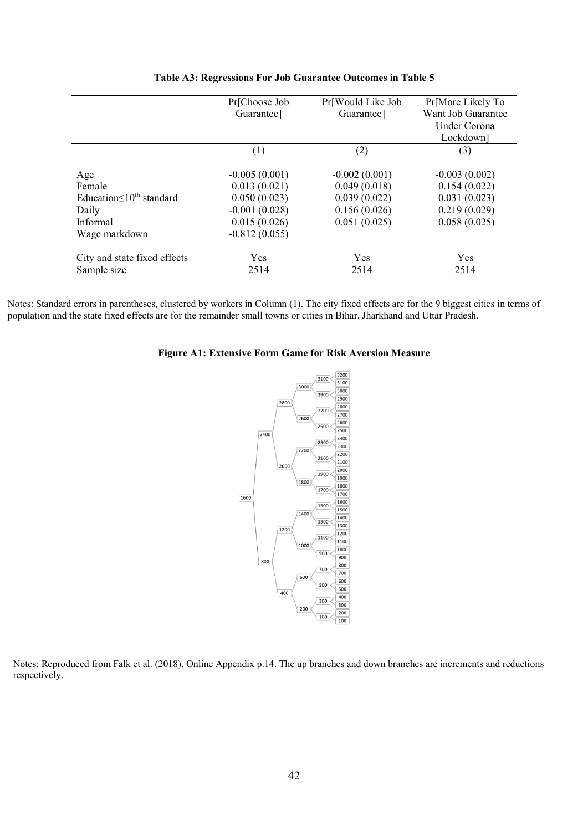|                                   | Pr[Choose Job   | Pr[Would Like Job | Pr[More Likely To  |
|-----------------------------------|-----------------|-------------------|--------------------|
|                                   | Guarantee]      | Guarantee]        | Want Job Guarantee |
|                                   |                 |                   | Under Corona       |
|                                   |                 |                   | Lockdown]          |
|                                   | (1)             | (2)               | (3)                |
|                                   |                 |                   |                    |
| Age                               | $-0.005(0.001)$ | $-0.002(0.001)$   | $-0.003(0.002)$    |
| Female                            | 0.013(0.021)    | 0.049(0.018)      | 0.154(0.022)       |
| Education $\leq 10^{th}$ standard | 0.050(0.023)    | 0.039(0.022)      | 0.031(0.023)       |
| Daily                             | $-0.001(0.028)$ | 0.156(0.026)      | 0.219(0.029)       |
| Informal                          | 0.015(0.026)    | 0.051(0.025)      | 0.058(0.025)       |
| Wage markdown                     | $-0.812(0.055)$ |                   |                    |
| City and state fixed effects      | Yes             | <b>Yes</b>        | Yes                |
| Sample size                       | 2514            | 2514              | 2514               |
|                                   |                 |                   |                    |

## **Table A3: Regressions For Job Guarantee Outcomes in Table 5**

Notes: Standard errors in parentheses, clustered by workers in Column (1). The city fixed effects are for the 9 biggest cities in terms of population and the state fixed effects are for the remainder small towns or cities in Bihar, Jharkhand and Uttar Pradesh.

## **Figure A1: Extensive Form Game for Risk Aversion Measure**



Notes: Reproduced from Falk et al. (2018), Online Appendix p.14. The up branches and down branches are increments and reductions respectively.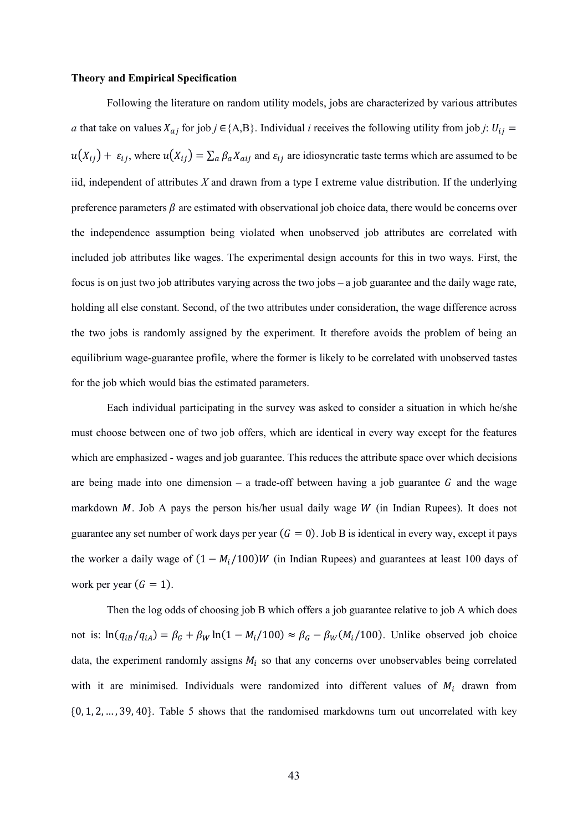#### **Theory and Empirical Specification**

Following the literature on random utility models, jobs are characterized by various attributes *a* that take on values  $X_{aj}$  for job  $j \in \{A,B\}$ . Individual *i* receives the following utility from job *j*:  $U_{ij}$  =  $u(X_{ij}) + \varepsilon_{ij}$ , where  $u(X_{ij}) = \sum_{a} \beta_a X_{aij}$  and  $\varepsilon_{ij}$  are idiosyncratic taste terms which are assumed to be iid, independent of attributes *X* and drawn from a type I extreme value distribution. If the underlying preference parameters  $\beta$  are estimated with observational job choice data, there would be concerns over the independence assumption being violated when unobserved job attributes are correlated with included job attributes like wages. The experimental design accounts for this in two ways. First, the focus is on just two job attributes varying across the two jobs – a job guarantee and the daily wage rate, holding all else constant. Second, of the two attributes under consideration, the wage difference across the two jobs is randomly assigned by the experiment. It therefore avoids the problem of being an equilibrium wage-guarantee profile, where the former is likely to be correlated with unobserved tastes for the job which would bias the estimated parameters.

Each individual participating in the survey was asked to consider a situation in which he/she must choose between one of two job offers, which are identical in every way except for the features which are emphasized - wages and job guarantee. This reduces the attribute space over which decisions are being made into one dimension – a trade-off between having a job guarantee  $G$  and the wage markdown  $M$ . Job A pays the person his/her usual daily wage  $W$  (in Indian Rupees). It does not guarantee any set number of work days per year  $(G = 0)$ . Job B is identical in every way, except it pays the worker a daily wage of  $(1 - M_i/100)W$  (in Indian Rupees) and guarantees at least 100 days of work per year  $(G = 1)$ .

Then the log odds of choosing job B which offers a job guarantee relative to job A which does not is:  $ln(q_{iB}/q_{iA}) = \beta_G + \beta_W ln(1 - M_i/100) \approx \beta_G - \beta_W (M_i/100)$ . Unlike observed job choice data, the experiment randomly assigns  $M_i$  so that any concerns over unobservables being correlated with it are minimised. Individuals were randomized into different values of  $M_i$  drawn from {0, 1, 2, … , 39, 40}. Table 5 shows that the randomised markdowns turn out uncorrelated with key